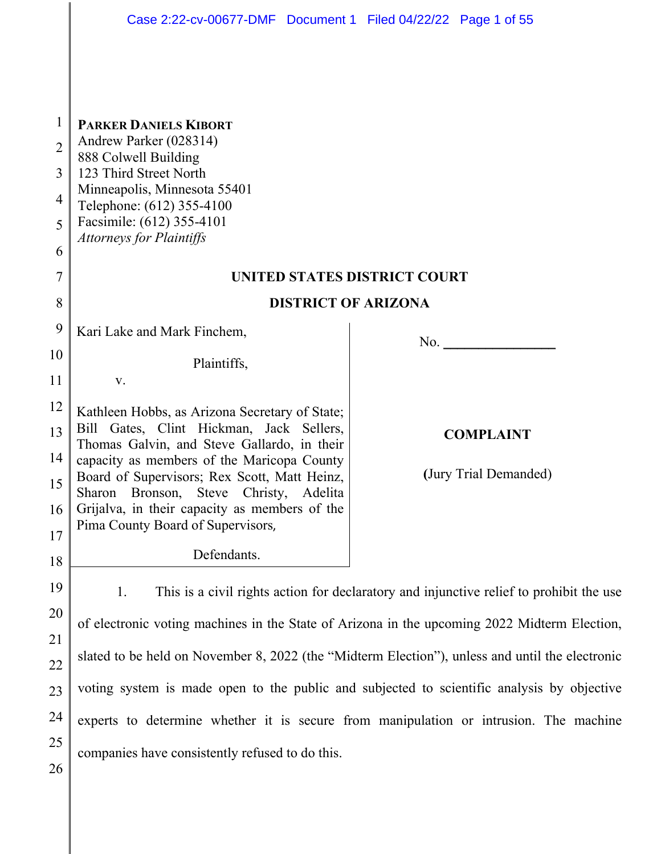|                | Case 2:22-cv-00677-DMF  Document 1  Filed 04/22/22  Page 1 of 55                                   |                                                                                         |  |  |
|----------------|----------------------------------------------------------------------------------------------------|-----------------------------------------------------------------------------------------|--|--|
|                |                                                                                                    |                                                                                         |  |  |
| $\mathbf{1}$   | <b>PARKER DANIELS KIBORT</b>                                                                       |                                                                                         |  |  |
| $\overline{2}$ | Andrew Parker (028314)<br>888 Colwell Building                                                     |                                                                                         |  |  |
| 3              | 123 Third Street North                                                                             |                                                                                         |  |  |
| 4              | Minneapolis, Minnesota 55401<br>Telephone: (612) 355-4100                                          |                                                                                         |  |  |
| 5              | Facsimile: (612) 355-4101                                                                          |                                                                                         |  |  |
| 6              | <b>Attorneys for Plaintiffs</b>                                                                    |                                                                                         |  |  |
| 7              | UNITED STATES DISTRICT COURT                                                                       |                                                                                         |  |  |
| 8              | <b>DISTRICT OF ARIZONA</b>                                                                         |                                                                                         |  |  |
| 9              | Kari Lake and Mark Finchem,                                                                        | No. $\qquad \qquad$                                                                     |  |  |
| 10             | Plaintiffs,                                                                                        |                                                                                         |  |  |
| 11             | V.                                                                                                 |                                                                                         |  |  |
| 12             | Kathleen Hobbs, as Arizona Secretary of State;                                                     |                                                                                         |  |  |
| 13             | Gates, Clint Hickman, Jack Sellers,<br>Bill<br>Thomas Galvin, and Steve Gallardo, in their         | <b>COMPLAINT</b>                                                                        |  |  |
| 14             | capacity as members of the Maricopa County                                                         |                                                                                         |  |  |
| 15             | Board of Supervisors; Rex Scott, Matt Heinz,<br>Bronson,<br>Steve<br>Christy,<br>Sharon<br>Adelita | (Jury Trial Demanded)                                                                   |  |  |
| 16             | Grijalva, in their capacity as members of the                                                      |                                                                                         |  |  |
| 17             | Pima County Board of Supervisors,                                                                  |                                                                                         |  |  |
| 18             | Defendants.                                                                                        |                                                                                         |  |  |
| 19             | 1.                                                                                                 | This is a civil rights action for declaratory and injunctive relief to prohibit the use |  |  |
| 20             | of electronic voting machines in the State of Arizona in the upcoming 2022 Midterm Election,       |                                                                                         |  |  |
| 21             |                                                                                                    |                                                                                         |  |  |
| 22             | slated to be held on November 8, 2022 (the "Midterm Election"), unless and until the electronic    |                                                                                         |  |  |
| 23             | voting system is made open to the public and subjected to scientific analysis by objective         |                                                                                         |  |  |
| 24             | experts to determine whether it is secure from manipulation or intrusion. The machine              |                                                                                         |  |  |
| 25             | companies have consistently refused to do this.                                                    |                                                                                         |  |  |
| 26             |                                                                                                    |                                                                                         |  |  |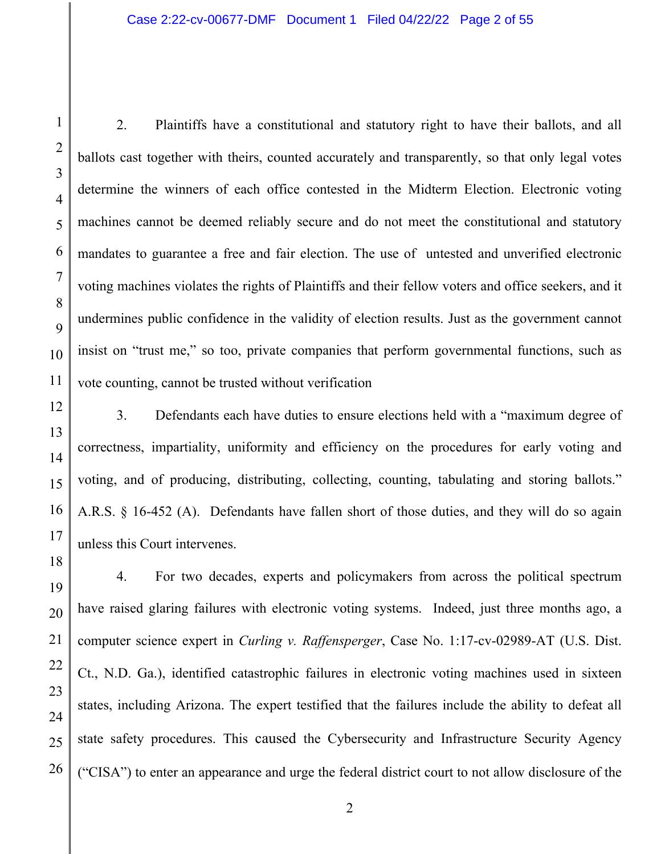2. Plaintiffs have a constitutional and statutory right to have their ballots, and all ballots cast together with theirs, counted accurately and transparently, so that only legal votes determine the winners of each office contested in the Midterm Election. Electronic voting machines cannot be deemed reliably secure and do not meet the constitutional and statutory mandates to guarantee a free and fair election. The use of untested and unverified electronic voting machines violates the rights of Plaintiffs and their fellow voters and office seekers, and it undermines public confidence in the validity of election results. Just as the government cannot insist on "trust me," so too, private companies that perform governmental functions, such as vote counting, cannot be trusted without verification

3. Defendants each have duties to ensure elections held with a "maximum degree of correctness, impartiality, uniformity and efficiency on the procedures for early voting and voting, and of producing, distributing, collecting, counting, tabulating and storing ballots." A.R.S. § 16-452 (A). Defendants have fallen short of those duties, and they will do so again unless this Court intervenes.

4. For two decades, experts and policymakers from across the political spectrum have raised glaring failures with electronic voting systems. Indeed, just three months ago, a computer science expert in *Curling v. Raffensperger*, Case No. 1:17-cv-02989-AT (U.S. Dist. Ct., N.D. Ga.), identified catastrophic failures in electronic voting machines used in sixteen states, including Arizona. The expert testified that the failures include the ability to defeat all state safety procedures. This caused the Cybersecurity and Infrastructure Security Agency ("CISA") to enter an appearance and urge the federal district court to not allow disclosure of the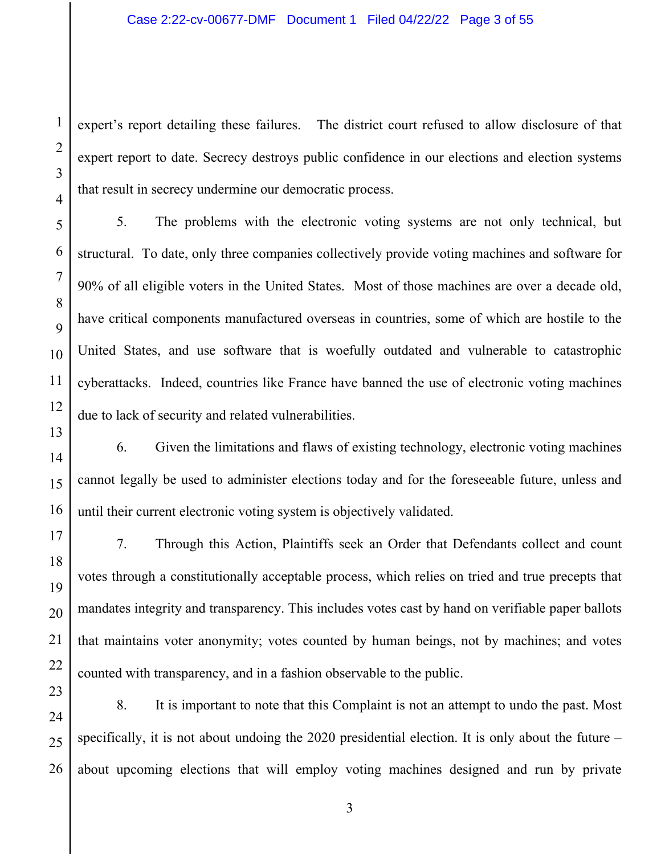expert's report detailing these failures. The district court refused to allow disclosure of that expert report to date. Secrecy destroys public confidence in our elections and election systems that result in secrecy undermine our democratic process.

5. The problems with the electronic voting systems are not only technical, but structural. To date, only three companies collectively provide voting machines and software for 90% of all eligible voters in the United States. Most of those machines are over a decade old, have critical components manufactured overseas in countries, some of which are hostile to the United States, and use software that is woefully outdated and vulnerable to catastrophic cyberattacks. Indeed, countries like France have banned the use of electronic voting machines due to lack of security and related vulnerabilities.

6. Given the limitations and flaws of existing technology, electronic voting machines cannot legally be used to administer elections today and for the foreseeable future, unless and until their current electronic voting system is objectively validated.

7. Through this Action, Plaintiffs seek an Order that Defendants collect and count votes through a constitutionally acceptable process, which relies on tried and true precepts that mandates integrity and transparency. This includes votes cast by hand on verifiable paper ballots that maintains voter anonymity; votes counted by human beings, not by machines; and votes counted with transparency, and in a fashion observable to the public.

8. It is important to note that this Complaint is not an attempt to undo the past. Most specifically, it is not about undoing the 2020 presidential election. It is only about the future – about upcoming elections that will employ voting machines designed and run by private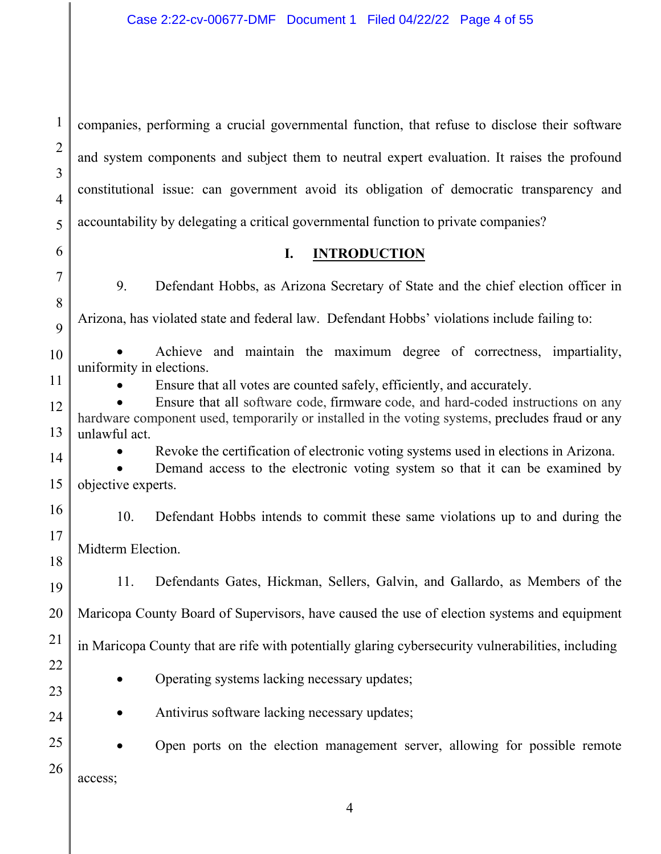1 2 3 4 5 companies, performing a crucial governmental function, that refuse to disclose their software and system components and subject them to neutral expert evaluation. It raises the profound constitutional issue: can government avoid its obligation of democratic transparency and accountability by delegating a critical governmental function to private companies?

6

7

8

 $\overline{Q}$ 

### **I. INTRODUCTION**

9. Defendant Hobbs, as Arizona Secretary of State and the chief election officer in Arizona, has violated state and federal law. Defendant Hobbs' violations include failing to:

10 11 Achieve and maintain the maximum degree of correctness, impartiality, uniformity in elections.

Ensure that all votes are counted safely, efficiently, and accurately.

12 13 Ensure that all software code, firmware code, and hard-coded instructions on any hardware component used, temporarily or installed in the voting systems, precludes fraud or any unlawful act.

22

23

24

Revoke the certification of electronic voting systems used in elections in Arizona.

14 15 Demand access to the electronic voting system so that it can be examined by objective experts.

16 17 18 10. Defendant Hobbs intends to commit these same violations up to and during the Midterm Election.

19 20 21 11. Defendants Gates, Hickman, Sellers, Galvin, and Gallardo, as Members of the Maricopa County Board of Supervisors, have caused the use of election systems and equipment in Maricopa County that are rife with potentially glaring cybersecurity vulnerabilities, including

• Operating systems lacking necessary updates;

• Antivirus software lacking necessary updates;

25 26 Open ports on the election management server, allowing for possible remote access;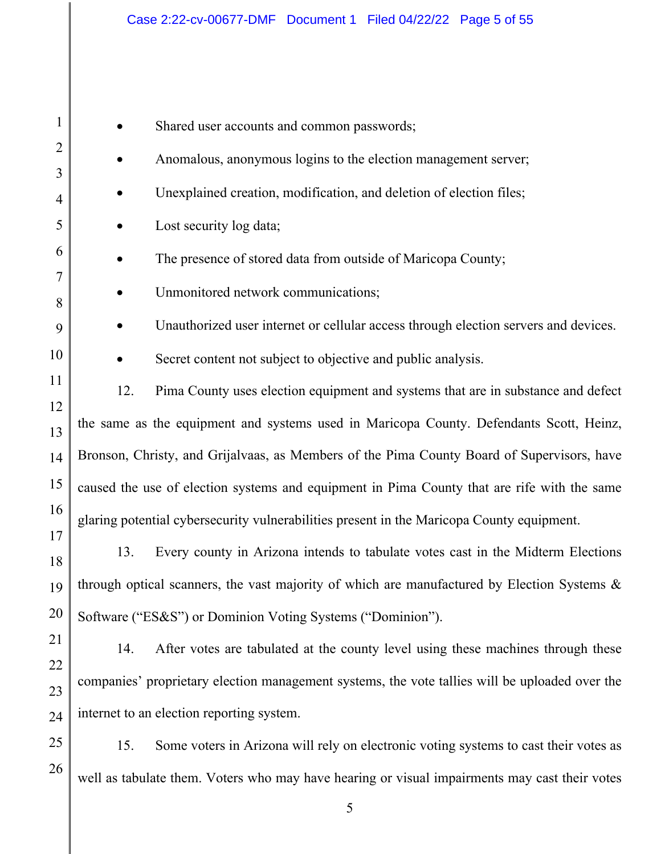| $\mathbf{1}$        |                                                                                                  | Shared user accounts and common passwords;                                           |  |
|---------------------|--------------------------------------------------------------------------------------------------|--------------------------------------------------------------------------------------|--|
| $\overline{2}$      |                                                                                                  | Anomalous, anonymous logins to the election management server;                       |  |
| 3<br>$\overline{4}$ |                                                                                                  | Unexplained creation, modification, and deletion of election files;                  |  |
| 5                   |                                                                                                  | Lost security log data;                                                              |  |
| 6                   |                                                                                                  | The presence of stored data from outside of Maricopa County;                         |  |
| 7                   |                                                                                                  | Unmonitored network communications;                                                  |  |
| 8                   |                                                                                                  |                                                                                      |  |
| 9                   |                                                                                                  | Unauthorized user internet or cellular access through election servers and devices.  |  |
| 10                  |                                                                                                  | Secret content not subject to objective and public analysis.                         |  |
| 11                  | 12.                                                                                              | Pima County uses election equipment and systems that are in substance and defect     |  |
| 12<br>13            | the same as the equipment and systems used in Maricopa County. Defendants Scott, Heinz,          |                                                                                      |  |
| 14                  | Bronson, Christy, and Grijalvaas, as Members of the Pima County Board of Supervisors, have       |                                                                                      |  |
| 15                  | caused the use of election systems and equipment in Pima County that are rife with the same      |                                                                                      |  |
| 16                  | glaring potential cybersecurity vulnerabilities present in the Maricopa County equipment.        |                                                                                      |  |
| 17<br>18            | 13.                                                                                              | Every county in Arizona intends to tabulate votes cast in the Midterm Elections      |  |
|                     | 19   through optical scanners, the vast majority of which are manufactured by Election Systems & |                                                                                      |  |
| 20                  | Software ("ES&S") or Dominion Voting Systems ("Dominion").                                       |                                                                                      |  |
| 21                  | 14.                                                                                              | After votes are tabulated at the county level using these machines through these     |  |
| 22                  |                                                                                                  |                                                                                      |  |
| 23                  | companies' proprietary election management systems, the vote tallies will be uploaded over the   |                                                                                      |  |
| 24                  | internet to an election reporting system.                                                        |                                                                                      |  |
| 25                  | 15.                                                                                              | Some voters in Arizona will rely on electronic voting systems to cast their votes as |  |
| 26                  | Il es tebulato them. Veters who move beys heeming on visual impointements move                   |                                                                                      |  |

well as tabulate them. Voters who may have hearing or visual impairments may cast their votes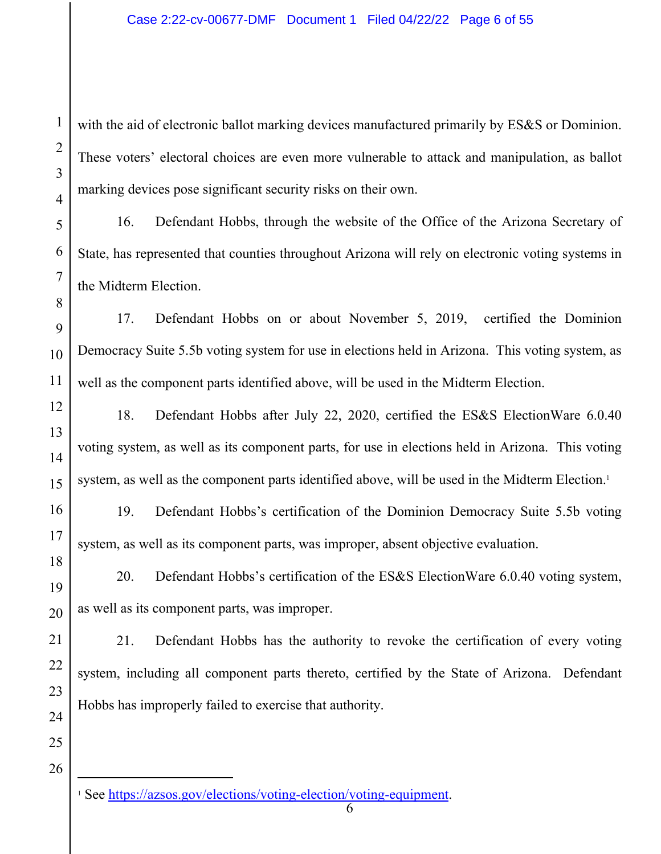with the aid of electronic ballot marking devices manufactured primarily by ES&S or Dominion. These voters' electoral choices are even more vulnerable to attack and manipulation, as ballot marking devices pose significant security risks on their own.

16. Defendant Hobbs, through the website of the Office of the Arizona Secretary of State, has represented that counties throughout Arizona will rely on electronic voting systems in the Midterm Election.

17. Defendant Hobbs on or about November 5, 2019, certified the Dominion Democracy Suite 5.5b voting system for use in elections held in Arizona. This voting system, as well as the component parts identified above, will be used in the Midterm Election.

18. Defendant Hobbs after July 22, 2020, certified the ES&S ElectionWare 6.0.40 voting system, as well as its component parts, for use in elections held in Arizona. This voting system, as well as the component parts identified above, will be used in the Midterm Election.<sup>1</sup>

19. Defendant Hobbs's certification of the Dominion Democracy Suite 5.5b voting system, as well as its component parts, was improper, absent objective evaluation.

20. Defendant Hobbs's certification of the ES&S ElectionWare 6.0.40 voting system, as well as its component parts, was improper.

21. Defendant Hobbs has the authority to revoke the certification of every voting system, including all component parts thereto, certified by the State of Arizona. Defendant Hobbs has improperly failed to exercise that authority.

26

1

2

3

4

5

6

7

8

9

10

11

12

13

14

15

16

17

18

19

20

21

22

23

24

25

<sup>&</sup>lt;sup>1</sup> See https://azsos.gov/elections/voting-election/voting-equipment.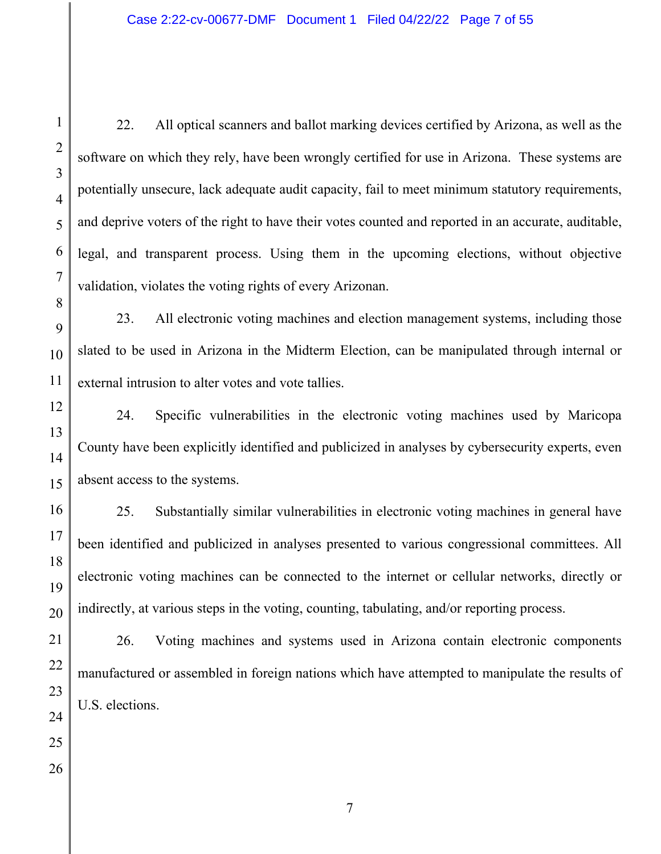22. All optical scanners and ballot marking devices certified by Arizona, as well as the software on which they rely, have been wrongly certified for use in Arizona. These systems are potentially unsecure, lack adequate audit capacity, fail to meet minimum statutory requirements, and deprive voters of the right to have their votes counted and reported in an accurate, auditable, legal, and transparent process. Using them in the upcoming elections, without objective validation, violates the voting rights of every Arizonan.

23. All electronic voting machines and election management systems, including those slated to be used in Arizona in the Midterm Election, can be manipulated through internal or external intrusion to alter votes and vote tallies.

24. Specific vulnerabilities in the electronic voting machines used by Maricopa County have been explicitly identified and publicized in analyses by cybersecurity experts, even absent access to the systems.

25. Substantially similar vulnerabilities in electronic voting machines in general have been identified and publicized in analyses presented to various congressional committees. All electronic voting machines can be connected to the internet or cellular networks, directly or indirectly, at various steps in the voting, counting, tabulating, and/or reporting process.

26. Voting machines and systems used in Arizona contain electronic components manufactured or assembled in foreign nations which have attempted to manipulate the results of U.S. elections.

1

2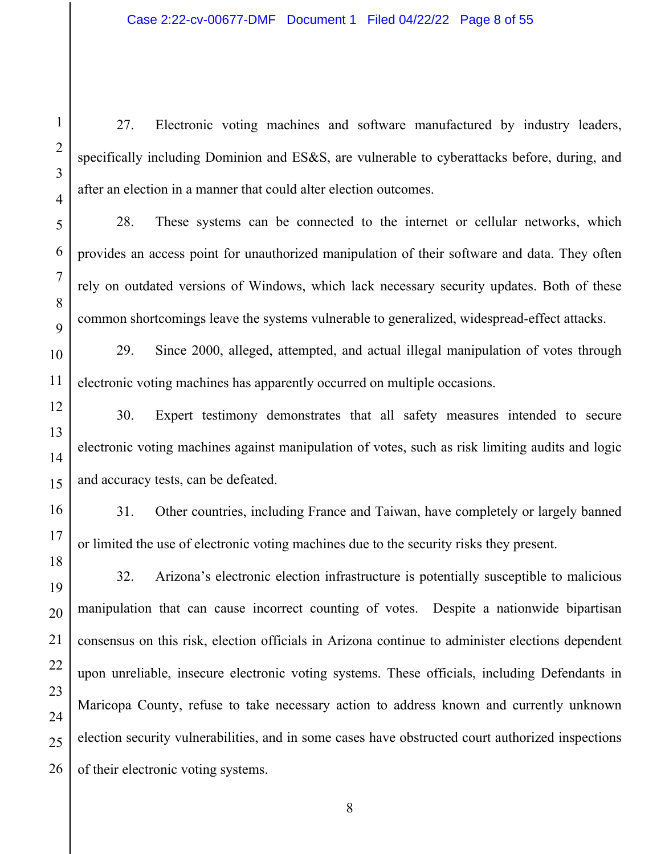27. Electronic voting machines and software manufactured by industry leaders, specifically including Dominion and ES&S, are vulnerable to cyberattacks before, during, and after an election in a manner that could alter election outcomes.

28. These systems can be connected to the internet or cellular networks, which provides an access point for unauthorized manipulation of their software and data. They often rely on outdated versions of Windows, which lack necessary security updates. Both of these common shortcomings leave the systems vulnerable to generalized, widespread-effect attacks.

29. Since 2000, alleged, attempted, and actual illegal manipulation of votes through electronic voting machines has apparently occurred on multiple occasions.

30. Expert testimony demonstrates that all safety measures intended to secure electronic voting machines against manipulation of votes, such as risk limiting audits and logic and accuracy tests, can be defeated.

31. Other countries, including France and Taiwan, have completely or largely banned or limited the use of electronic voting machines due to the security risks they present.

32. Arizona's electronic election infrastructure is potentially susceptible to malicious manipulation that can cause incorrect counting of votes. Despite a nationwide bipartisan consensus on this risk, election officials in Arizona continue to administer elections dependent upon unreliable, insecure electronic voting systems. These officials, including Defendants in Maricopa County, refuse to take necessary action to address known and currently unknown election security vulnerabilities, and in some cases have obstructed court authorized inspections of their electronic voting systems.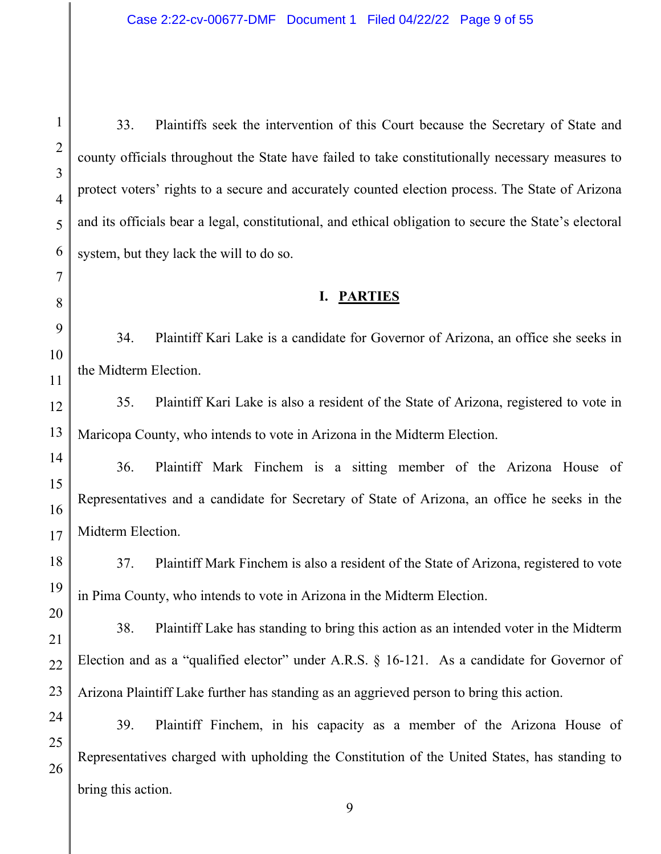33. Plaintiffs seek the intervention of this Court because the Secretary of State and county officials throughout the State have failed to take constitutionally necessary measures to protect voters' rights to a secure and accurately counted election process. The State of Arizona and its officials bear a legal, constitutional, and ethical obligation to secure the State's electoral system, but they lack the will to do so.

### **I. PARTIES**

34. Plaintiff Kari Lake is a candidate for Governor of Arizona, an office she seeks in the Midterm Election.

35. Plaintiff Kari Lake is also a resident of the State of Arizona, registered to vote in Maricopa County, who intends to vote in Arizona in the Midterm Election.

36. Plaintiff Mark Finchem is a sitting member of the Arizona House of Representatives and a candidate for Secretary of State of Arizona, an office he seeks in the Midterm Election.

37. Plaintiff Mark Finchem is also a resident of the State of Arizona, registered to vote in Pima County, who intends to vote in Arizona in the Midterm Election.

38. Plaintiff Lake has standing to bring this action as an intended voter in the Midterm Election and as a "qualified elector" under A.R.S. § 16-121. As a candidate for Governor of Arizona Plaintiff Lake further has standing as an aggrieved person to bring this action.

39. Plaintiff Finchem, in his capacity as a member of the Arizona House of Representatives charged with upholding the Constitution of the United States, has standing to bring this action.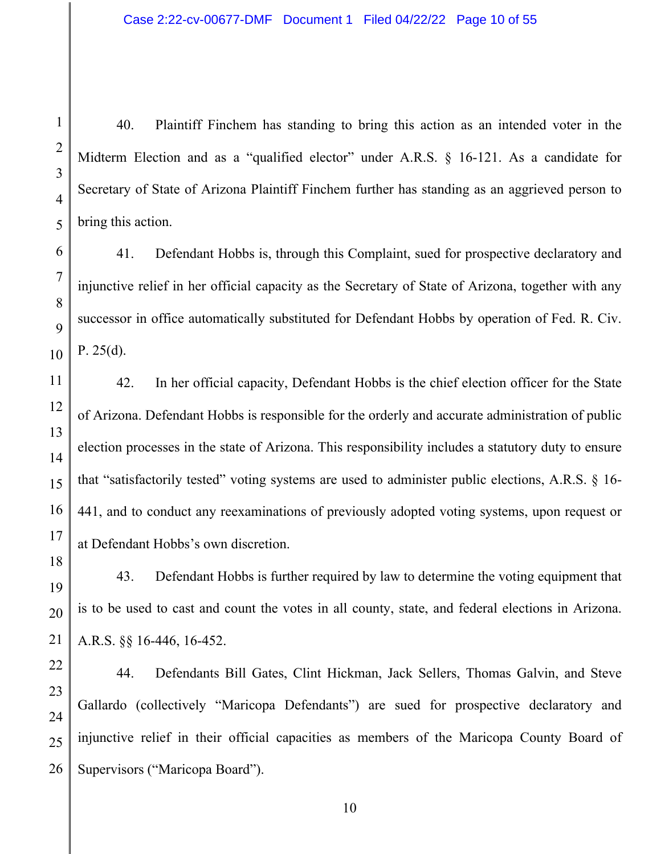40. Plaintiff Finchem has standing to bring this action as an intended voter in the Midterm Election and as a "qualified elector" under A.R.S. § 16-121. As a candidate for Secretary of State of Arizona Plaintiff Finchem further has standing as an aggrieved person to bring this action.

41. Defendant Hobbs is, through this Complaint, sued for prospective declaratory and injunctive relief in her official capacity as the Secretary of State of Arizona, together with any successor in office automatically substituted for Defendant Hobbs by operation of Fed. R. Civ. P.  $25(d)$ .

42. In her official capacity, Defendant Hobbs is the chief election officer for the State of Arizona. Defendant Hobbs is responsible for the orderly and accurate administration of public election processes in the state of Arizona. This responsibility includes a statutory duty to ensure that "satisfactorily tested" voting systems are used to administer public elections, A.R.S. § 16- 441, and to conduct any reexaminations of previously adopted voting systems, upon request or at Defendant Hobbs's own discretion.

43. Defendant Hobbs is further required by law to determine the voting equipment that is to be used to cast and count the votes in all county, state, and federal elections in Arizona. A.R.S. §§ 16-446, 16-452.

44. Defendants Bill Gates, Clint Hickman, Jack Sellers, Thomas Galvin, and Steve Gallardo (collectively "Maricopa Defendants") are sued for prospective declaratory and injunctive relief in their official capacities as members of the Maricopa County Board of Supervisors ("Maricopa Board").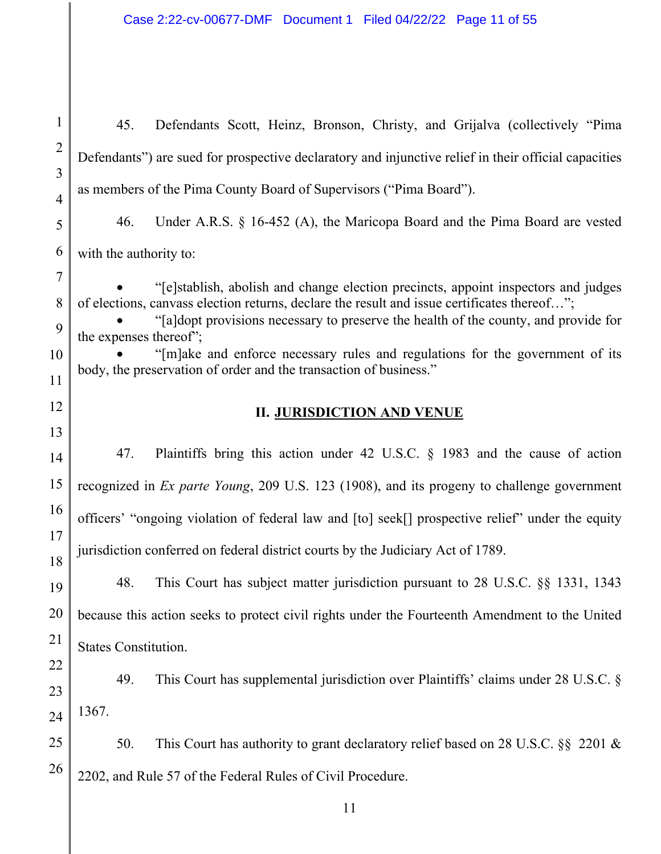45. Defendants Scott, Heinz, Bronson, Christy, and Grijalva (collectively "Pima Defendants") are sued for prospective declaratory and injunctive relief in their official capacities as members of the Pima County Board of Supervisors ("Pima Board").

46. Under A.R.S. § 16-452 (A), the Maricopa Board and the Pima Board are vested with the authority to:

 "[e]stablish, abolish and change election precincts, appoint inspectors and judges of elections, canvass election returns, declare the result and issue certificates thereof…";

 "[a]dopt provisions necessary to preserve the health of the county, and provide for the expenses thereof";

 "[m]ake and enforce necessary rules and regulations for the government of its body, the preservation of order and the transaction of business."

## **II. JURISDICTION AND VENUE**

47. Plaintiffs bring this action under 42 U.S.C. § 1983 and the cause of action recognized in *Ex parte Young*, 209 U.S. 123 (1908), and its progeny to challenge government officers' "ongoing violation of federal law and [to] seek[] prospective relief" under the equity jurisdiction conferred on federal district courts by the Judiciary Act of 1789.

48. This Court has subject matter jurisdiction pursuant to 28 U.S.C. §§ 1331, 1343 because this action seeks to protect civil rights under the Fourteenth Amendment to the United States Constitution.

49. This Court has supplemental jurisdiction over Plaintiffs' claims under 28 U.S.C. § 1367.

50. This Court has authority to grant declaratory relief based on 28 U.S.C. §§ 2201 & 2202, and Rule 57 of the Federal Rules of Civil Procedure.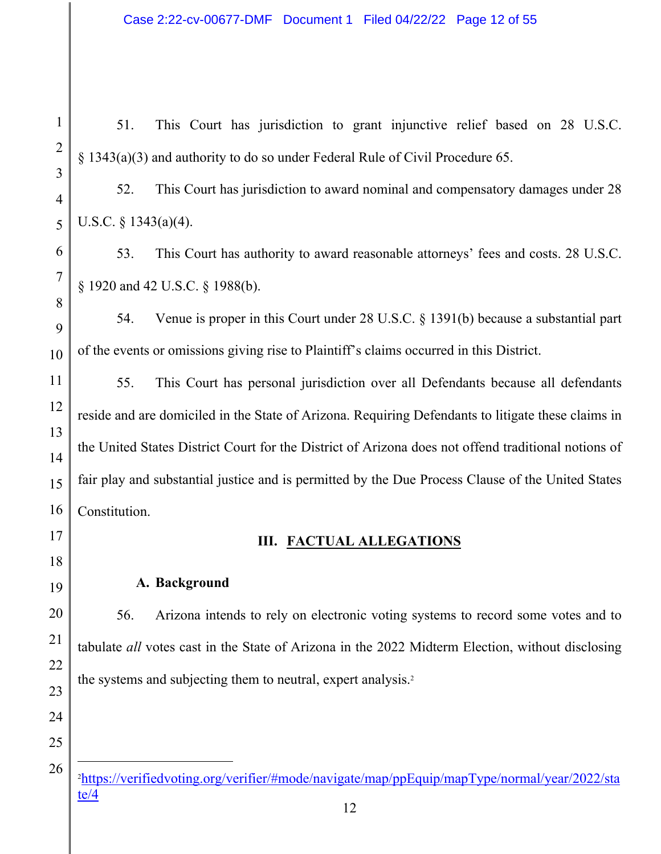51. This Court has jurisdiction to grant injunctive relief based on 28 U.S.C. § 1343(a)(3) and authority to do so under Federal Rule of Civil Procedure 65.

52. This Court has jurisdiction to award nominal and compensatory damages under 28 U.S.C. § 1343(a)(4).

53. This Court has authority to award reasonable attorneys' fees and costs. 28 U.S.C. § 1920 and 42 U.S.C. § 1988(b).

54. Venue is proper in this Court under 28 U.S.C. § 1391(b) because a substantial part of the events or omissions giving rise to Plaintiff's claims occurred in this District.

55. This Court has personal jurisdiction over all Defendants because all defendants reside and are domiciled in the State of Arizona. Requiring Defendants to litigate these claims in the United States District Court for the District of Arizona does not offend traditional notions of fair play and substantial justice and is permitted by the Due Process Clause of the United States Constitution.

# **III. FACTUAL ALLEGATIONS**

#### **A. Background**

56. Arizona intends to rely on electronic voting systems to record some votes and to tabulate *all* votes cast in the State of Arizona in the 2022 Midterm Election, without disclosing the systems and subjecting them to neutral, expert analysis.<sup>2</sup>

25

1

<sup>2</sup> https://verifiedvoting.org/verifier/#mode/navigate/map/ppEquip/mapType/normal/year/2022/sta te/4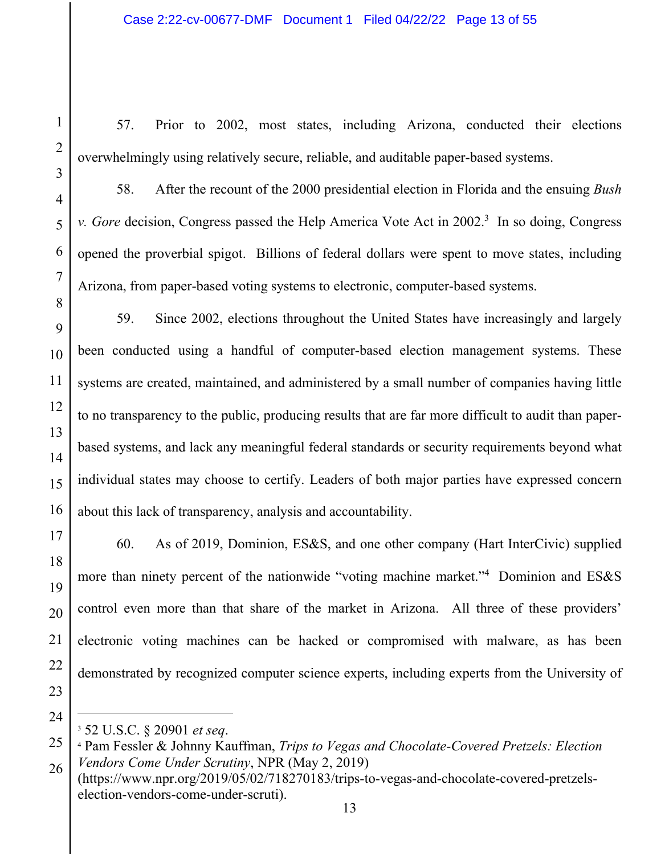1

57. Prior to 2002, most states, including Arizona, conducted their elections overwhelmingly using relatively secure, reliable, and auditable paper-based systems.

58. After the recount of the 2000 presidential election in Florida and the ensuing *Bush v. Gore* decision, Congress passed the Help America Vote Act in 2002.<sup>3</sup> In so doing, Congress opened the proverbial spigot. Billions of federal dollars were spent to move states, including Arizona, from paper-based voting systems to electronic, computer-based systems.

59. Since 2002, elections throughout the United States have increasingly and largely been conducted using a handful of computer-based election management systems. These systems are created, maintained, and administered by a small number of companies having little to no transparency to the public, producing results that are far more difficult to audit than paperbased systems, and lack any meaningful federal standards or security requirements beyond what individual states may choose to certify. Leaders of both major parties have expressed concern about this lack of transparency, analysis and accountability.

60. As of 2019, Dominion, ES&S, and one other company (Hart InterCivic) supplied more than ninety percent of the nationwide "voting machine market."4 Dominion and ES&S control even more than that share of the market in Arizona. All three of these providers' electronic voting machines can be hacked or compromised with malware, as has been demonstrated by recognized computer science experts, including experts from the University of

<sup>3</sup> 52 U.S.C. § 20901 *et seq*. 4

<sup>26</sup>  Pam Fessler & Johnny Kauffman, *Trips to Vegas and Chocolate-Covered Pretzels: Election Vendors Come Under Scrutiny*, NPR (May 2, 2019)

<sup>(</sup>https://www.npr.org/2019/05/02/718270183/trips-to-vegas-and-chocolate-covered-pretzelselection-vendors-come-under-scruti).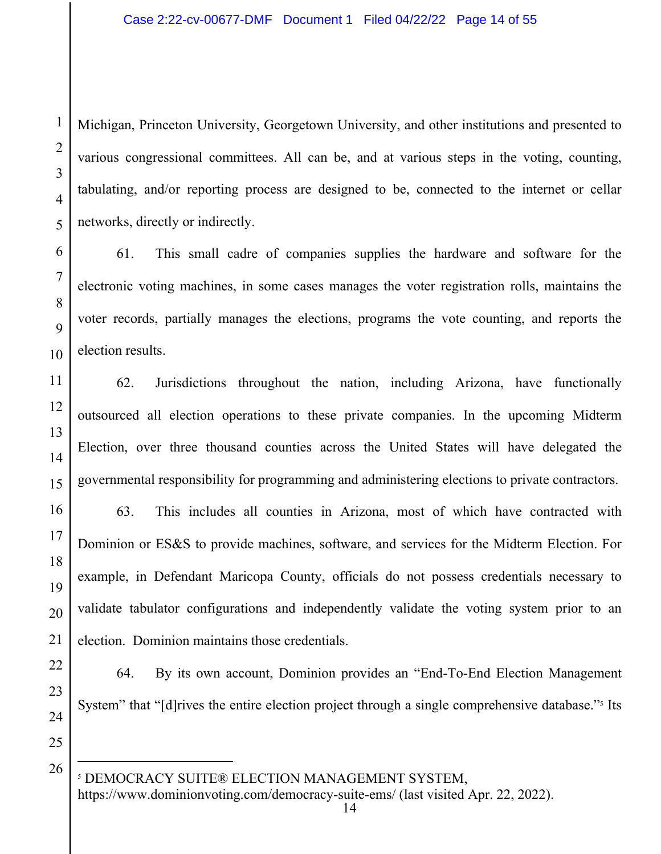Michigan, Princeton University, Georgetown University, and other institutions and presented to various congressional committees. All can be, and at various steps in the voting, counting, tabulating, and/or reporting process are designed to be, connected to the internet or cellar networks, directly or indirectly.

61. This small cadre of companies supplies the hardware and software for the electronic voting machines, in some cases manages the voter registration rolls, maintains the voter records, partially manages the elections, programs the vote counting, and reports the election results.

62. Jurisdictions throughout the nation, including Arizona, have functionally outsourced all election operations to these private companies. In the upcoming Midterm Election, over three thousand counties across the United States will have delegated the governmental responsibility for programming and administering elections to private contractors.

63. This includes all counties in Arizona, most of which have contracted with Dominion or ES&S to provide machines, software, and services for the Midterm Election. For example, in Defendant Maricopa County, officials do not possess credentials necessary to validate tabulator configurations and independently validate the voting system prior to an election. Dominion maintains those credentials.

64. By its own account, Dominion provides an "End-To-End Election Management System" that "[d]rives the entire election project through a single comprehensive database."<sup>5</sup> Its

25

26

24

1

2

3

4

5

6

7

8

9

10

11

12

13

14

15

16

17

18

19

20

21

22

23

5 DEMOCRACY SUITE® ELECTION MANAGEMENT SYSTEM,

https://www.dominionvoting.com/democracy-suite-ems/ (last visited Apr. 22, 2022).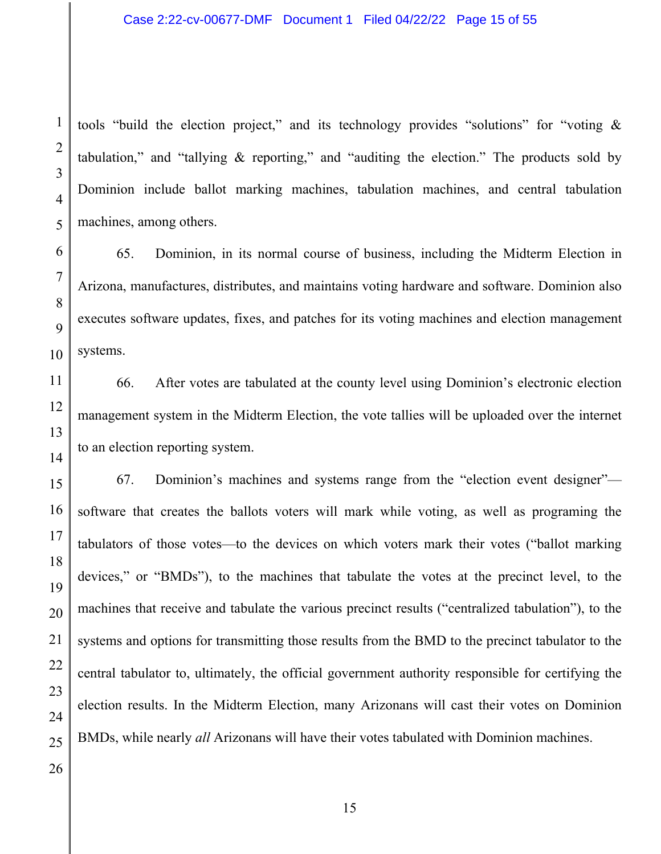tools "build the election project," and its technology provides "solutions" for "voting & tabulation," and "tallying & reporting," and "auditing the election." The products sold by Dominion include ballot marking machines, tabulation machines, and central tabulation machines, among others.

65. Dominion, in its normal course of business, including the Midterm Election in Arizona, manufactures, distributes, and maintains voting hardware and software. Dominion also executes software updates, fixes, and patches for its voting machines and election management systems.

66. After votes are tabulated at the county level using Dominion's electronic election management system in the Midterm Election, the vote tallies will be uploaded over the internet to an election reporting system.

67. Dominion's machines and systems range from the "election event designer" software that creates the ballots voters will mark while voting, as well as programing the tabulators of those votes—to the devices on which voters mark their votes ("ballot marking devices," or "BMDs"), to the machines that tabulate the votes at the precinct level, to the machines that receive and tabulate the various precinct results ("centralized tabulation"), to the systems and options for transmitting those results from the BMD to the precinct tabulator to the central tabulator to, ultimately, the official government authority responsible for certifying the election results. In the Midterm Election, many Arizonans will cast their votes on Dominion BMDs, while nearly *all* Arizonans will have their votes tabulated with Dominion machines.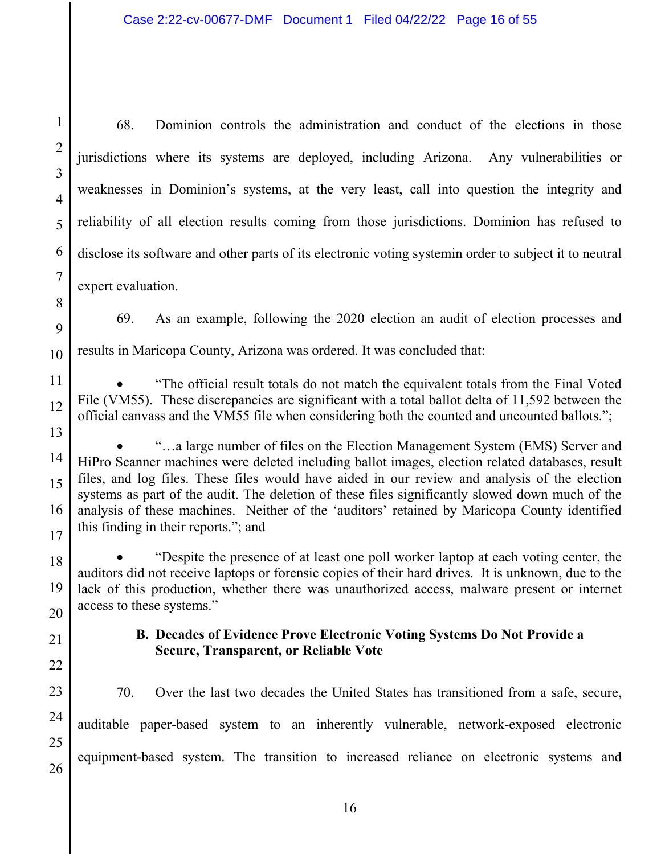68. Dominion controls the administration and conduct of the elections in those jurisdictions where its systems are deployed, including Arizona. Any vulnerabilities or weaknesses in Dominion's systems, at the very least, call into question the integrity and reliability of all election results coming from those jurisdictions. Dominion has refused to disclose its software and other parts of its electronic voting systemin order to subject it to neutral expert evaluation.

69. As an example, following the 2020 election an audit of election processes and results in Maricopa County, Arizona was ordered. It was concluded that:

 "The official result totals do not match the equivalent totals from the Final Voted File (VM55). These discrepancies are significant with a total ballot delta of 11,592 between the official canvass and the VM55 file when considering both the counted and uncounted ballots.";

1

2

3

4

5

6

 "…a large number of files on the Election Management System (EMS) Server and HiPro Scanner machines were deleted including ballot images, election related databases, result files, and log files. These files would have aided in our review and analysis of the election systems as part of the audit. The deletion of these files significantly slowed down much of the analysis of these machines. Neither of the 'auditors' retained by Maricopa County identified this finding in their reports."; and

 "Despite the presence of at least one poll worker laptop at each voting center, the auditors did not receive laptops or forensic copies of their hard drives. It is unknown, due to the lack of this production, whether there was unauthorized access, malware present or internet access to these systems."

## **B. Decades of Evidence Prove Electronic Voting Systems Do Not Provide a Secure, Transparent, or Reliable Vote**

70. Over the last two decades the United States has transitioned from a safe, secure, auditable paper-based system to an inherently vulnerable, network-exposed electronic equipment-based system. The transition to increased reliance on electronic systems and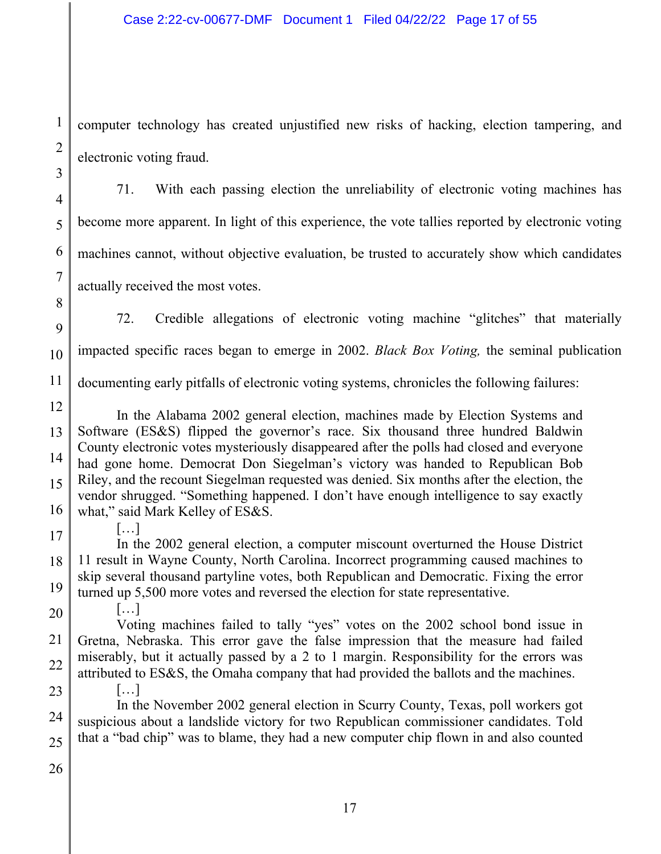computer technology has created unjustified new risks of hacking, election tampering, and electronic voting fraud.

71. With each passing election the unreliability of electronic voting machines has become more apparent. In light of this experience, the vote tallies reported by electronic voting machines cannot, without objective evaluation, be trusted to accurately show which candidates actually received the most votes.

9 10 72. Credible allegations of electronic voting machine "glitches" that materially impacted specific races began to emerge in 2002. *Black Box Voting,* the seminal publication

11 documenting early pitfalls of electronic voting systems, chronicles the following failures:

12 13 14 15 16 In the Alabama 2002 general election, machines made by Election Systems and Software (ES&S) flipped the governor's race. Six thousand three hundred Baldwin County electronic votes mysteriously disappeared after the polls had closed and everyone had gone home. Democrat Don Siegelman's victory was handed to Republican Bob Riley, and the recount Siegelman requested was denied. Six months after the election, the vendor shrugged. "Something happened. I don't have enough intelligence to say exactly what," said Mark Kelley of ES&S.

17

 $[\ldots]$ 

[…]

1

2

3

4

5

6

7

8

18 19 In the 2002 general election, a computer miscount overturned the House District 11 result in Wayne County, North Carolina. Incorrect programming caused machines to skip several thousand partyline votes, both Republican and Democratic. Fixing the error turned up 5,500 more votes and reversed the election for state representative.

20

21 22 Voting machines failed to tally "yes" votes on the 2002 school bond issue in Gretna, Nebraska. This error gave the false impression that the measure had failed miserably, but it actually passed by a 2 to 1 margin. Responsibility for the errors was attributed to ES&S, the Omaha company that had provided the ballots and the machines.

23 24 25 […] In the November 2002 general election in Scurry County, Texas, poll workers got suspicious about a landslide victory for two Republican commissioner candidates. Told that a "bad chip" was to blame, they had a new computer chip flown in and also counted

26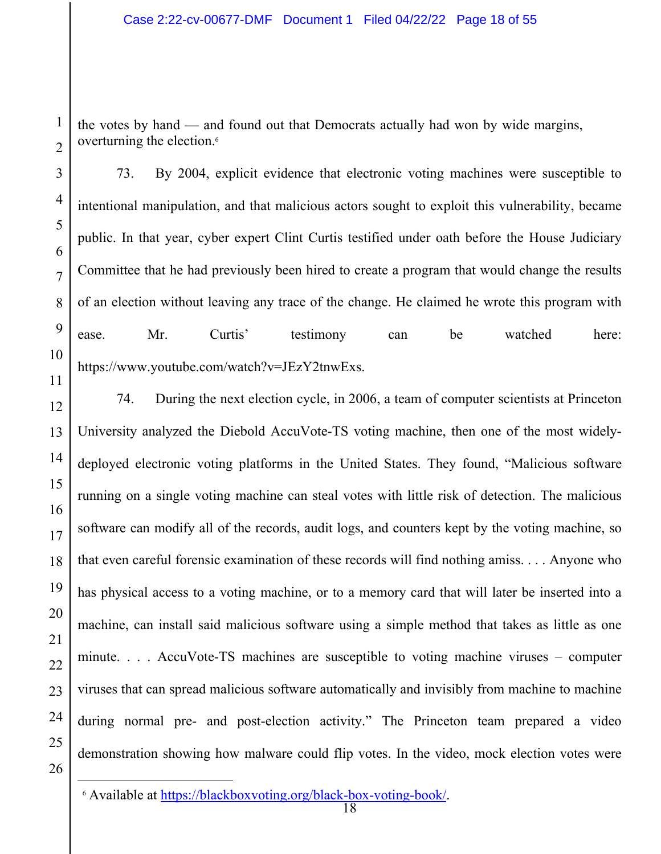the votes by hand — and found out that Democrats actually had won by wide margins, overturning the election.<sup>6</sup>

73. By 2004, explicit evidence that electronic voting machines were susceptible to intentional manipulation, and that malicious actors sought to exploit this vulnerability, became public. In that year, cyber expert Clint Curtis testified under oath before the House Judiciary Committee that he had previously been hired to create a program that would change the results of an election without leaving any trace of the change. He claimed he wrote this program with ease. Mr. Curtis' testimony can be watched here: https://www.youtube.com/watch?v=JEzY2tnwExs.

74. During the next election cycle, in 2006, a team of computer scientists at Princeton University analyzed the Diebold AccuVote-TS voting machine, then one of the most widelydeployed electronic voting platforms in the United States. They found, "Malicious software running on a single voting machine can steal votes with little risk of detection. The malicious software can modify all of the records, audit logs, and counters kept by the voting machine, so that even careful forensic examination of these records will find nothing amiss. . . . Anyone who has physical access to a voting machine, or to a memory card that will later be inserted into a machine, can install said malicious software using a simple method that takes as little as one minute. . . . AccuVote-TS machines are susceptible to voting machine viruses – computer viruses that can spread malicious software automatically and invisibly from machine to machine during normal pre- and post-election activity." The Princeton team prepared a video demonstration showing how malware could flip votes. In the video, mock election votes were

1

2

3

4

5

<sup>7</sup>  8 9 10 11 12 13 14 15 16 17 18 19 20 21 22 23 24 25 26

<sup>6</sup> Available at https://blackboxvoting.org/black-box-voting-book/.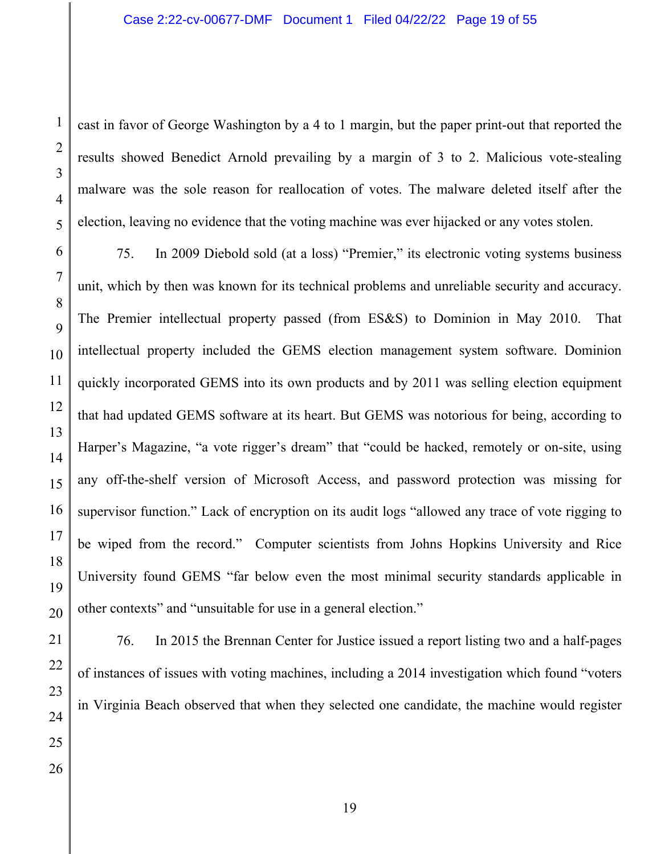cast in favor of George Washington by a 4 to 1 margin, but the paper print-out that reported the results showed Benedict Arnold prevailing by a margin of 3 to 2. Malicious vote-stealing malware was the sole reason for reallocation of votes. The malware deleted itself after the election, leaving no evidence that the voting machine was ever hijacked or any votes stolen.

75. In 2009 Diebold sold (at a loss) "Premier," its electronic voting systems business unit, which by then was known for its technical problems and unreliable security and accuracy. The Premier intellectual property passed (from ES&S) to Dominion in May 2010. That intellectual property included the GEMS election management system software. Dominion quickly incorporated GEMS into its own products and by 2011 was selling election equipment that had updated GEMS software at its heart. But GEMS was notorious for being, according to Harper's Magazine, "a vote rigger's dream" that "could be hacked, remotely or on-site, using any off-the-shelf version of Microsoft Access, and password protection was missing for supervisor function." Lack of encryption on its audit logs "allowed any trace of vote rigging to be wiped from the record." Computer scientists from Johns Hopkins University and Rice University found GEMS "far below even the most minimal security standards applicable in other contexts" and "unsuitable for use in a general election."

76. In 2015 the Brennan Center for Justice issued a report listing two and a half-pages of instances of issues with voting machines, including a 2014 investigation which found "voters in Virginia Beach observed that when they selected one candidate, the machine would register

1

2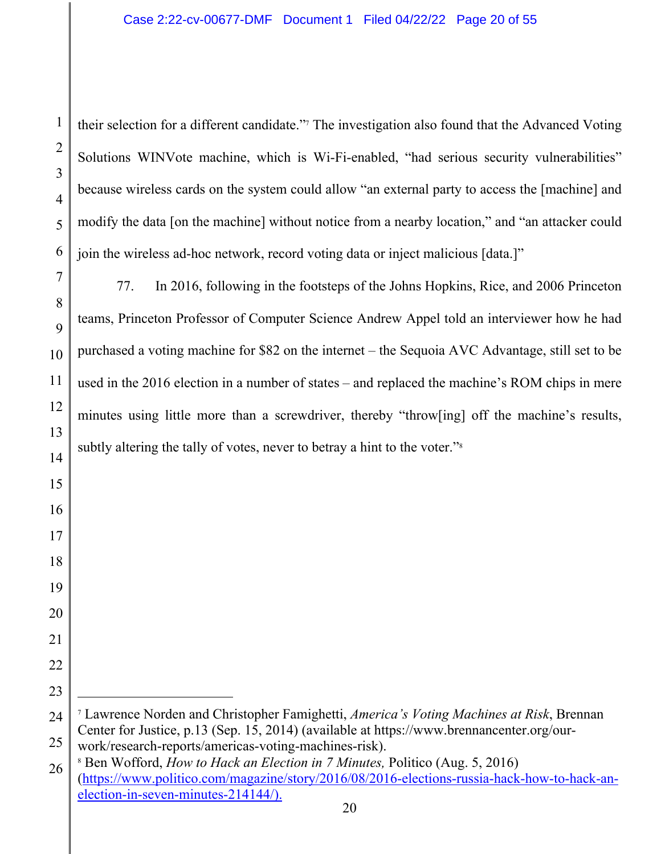their selection for a different candidate."7 The investigation also found that the Advanced Voting Solutions WINVote machine, which is Wi-Fi-enabled, "had serious security vulnerabilities" because wireless cards on the system could allow "an external party to access the [machine] and modify the data [on the machine] without notice from a nearby location," and "an attacker could join the wireless ad-hoc network, record voting data or inject malicious [data.]"

77. In 2016, following in the footsteps of the Johns Hopkins, Rice, and 2006 Princeton teams, Princeton Professor of Computer Science Andrew Appel told an interviewer how he had purchased a voting machine for \$82 on the internet – the Sequoia AVC Advantage, still set to be used in the 2016 election in a number of states – and replaced the machine's ROM chips in mere minutes using little more than a screwdriver, thereby "throw[ing] off the machine's results, subtly altering the tally of votes, never to betray a hint to the voter."<sup>8</sup>

 Lawrence Norden and Christopher Famighetti, *America's Voting Machines at Risk*, Brennan Center for Justice, p.13 (Sep. 15, 2014) (available at https://www.brennancenter.org/ourwork/research-reports/americas-voting-machines-risk).

 Ben Wofford, *How to Hack an Election in 7 Minutes,* Politico (Aug. 5, 2016) (https://www.politico.com/magazine/story/2016/08/2016-elections-russia-hack-how-to-hack-anelection-in-seven-minutes-214144/).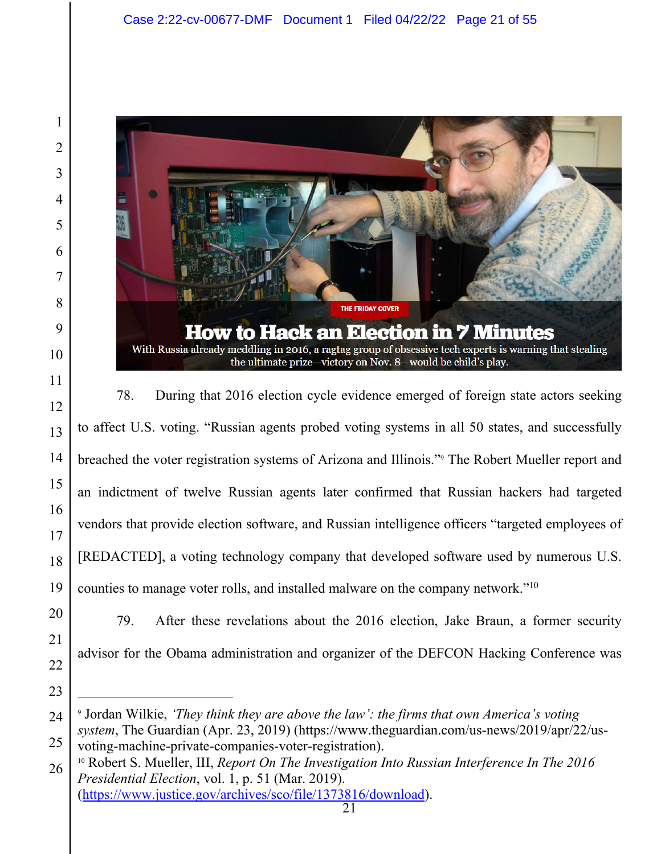

78. During that 2016 election cycle evidence emerged of foreign state actors seeking to affect U.S. voting. "Russian agents probed voting systems in all 50 states, and successfully breached the voter registration systems of Arizona and Illinois."9 The Robert Mueller report and an indictment of twelve Russian agents later confirmed that Russian hackers had targeted vendors that provide election software, and Russian intelligence officers "targeted employees of [REDACTED], a voting technology company that developed software used by numerous U.S. counties to manage voter rolls, and installed malware on the company network."10

79. After these revelations about the 2016 election, Jake Braun, a former security advisor for the Obama administration and organizer of the DEFCON Hacking Conference was

 Jordan Wilkie, *'They think they are above the law': the firms that own America's voting system*, The Guardian (Apr. 23, 2019) (https://www.theguardian.com/us-news/2019/apr/22/us-

voting-machine-private-companies-voter-registration). 10 Robert S. Mueller, III, *Report On The Investigation Into Russian Interference In The 2016 Presidential Election*, vol. 1, p. 51 (Mar. 2019). (https://www.justice.gov/archives/sco/file/1373816/download).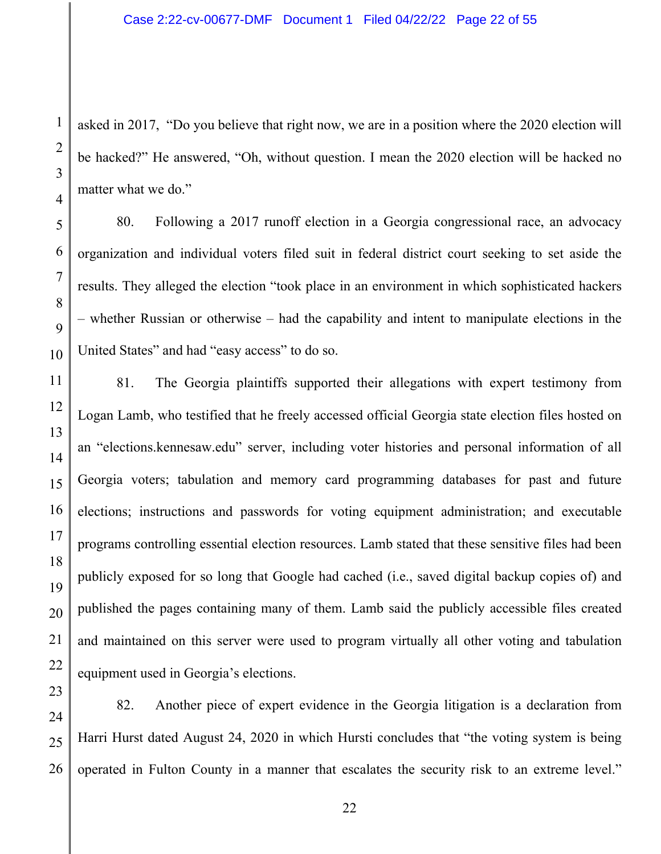asked in 2017, "Do you believe that right now, we are in a position where the 2020 election will be hacked?" He answered, "Oh, without question. I mean the 2020 election will be hacked no matter what we do."

80. Following a 2017 runoff election in a Georgia congressional race, an advocacy organization and individual voters filed suit in federal district court seeking to set aside the results. They alleged the election "took place in an environment in which sophisticated hackers – whether Russian or otherwise – had the capability and intent to manipulate elections in the United States" and had "easy access" to do so.

81. The Georgia plaintiffs supported their allegations with expert testimony from Logan Lamb, who testified that he freely accessed official Georgia state election files hosted on an "elections.kennesaw.edu" server, including voter histories and personal information of all Georgia voters; tabulation and memory card programming databases for past and future elections; instructions and passwords for voting equipment administration; and executable programs controlling essential election resources. Lamb stated that these sensitive files had been publicly exposed for so long that Google had cached (i.e., saved digital backup copies of) and published the pages containing many of them. Lamb said the publicly accessible files created and maintained on this server were used to program virtually all other voting and tabulation equipment used in Georgia's elections.

82. Another piece of expert evidence in the Georgia litigation is a declaration from Harri Hurst dated August 24, 2020 in which Hursti concludes that "the voting system is being operated in Fulton County in a manner that escalates the security risk to an extreme level."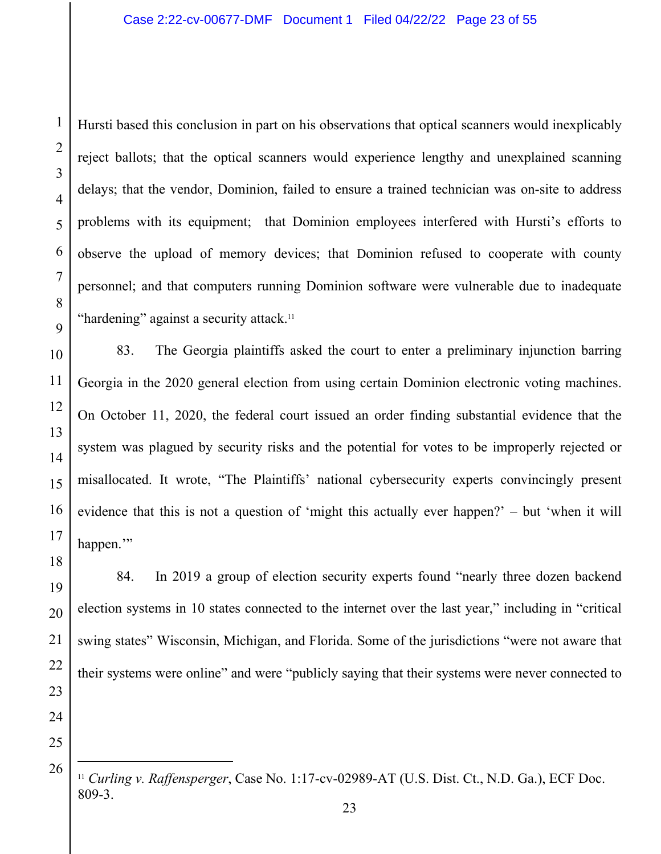Hursti based this conclusion in part on his observations that optical scanners would inexplicably reject ballots; that the optical scanners would experience lengthy and unexplained scanning delays; that the vendor, Dominion, failed to ensure a trained technician was on-site to address problems with its equipment; that Dominion employees interfered with Hursti's efforts to observe the upload of memory devices; that Dominion refused to cooperate with county personnel; and that computers running Dominion software were vulnerable due to inadequate "hardening" against a security attack.<sup>11</sup>

83. The Georgia plaintiffs asked the court to enter a preliminary injunction barring Georgia in the 2020 general election from using certain Dominion electronic voting machines. On October 11, 2020, the federal court issued an order finding substantial evidence that the system was plagued by security risks and the potential for votes to be improperly rejected or misallocated. It wrote, "The Plaintiffs' national cybersecurity experts convincingly present evidence that this is not a question of 'might this actually ever happen?' – but 'when it will happen."

19 20 21 22 23 84. In 2019 a group of election security experts found "nearly three dozen backend election systems in 10 states connected to the internet over the last year," including in "critical swing states" Wisconsin, Michigan, and Florida. Some of the jurisdictions "were not aware that their systems were online" and were "publicly saying that their systems were never connected to

24 25

26

1

2

3

4

5

6

7

8

9

10

11

12

13

14

15

16

17

<sup>11</sup> *Curling v. Raffensperger*, Case No. 1:17-cv-02989-AT (U.S. Dist. Ct., N.D. Ga.), ECF Doc. 809-3.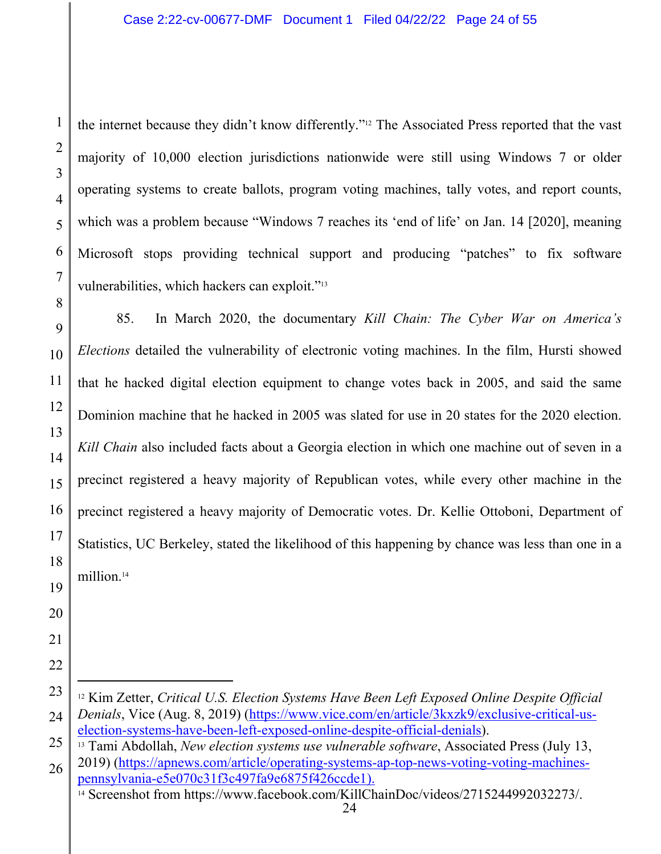the internet because they didn't know differently."12 The Associated Press reported that the vast majority of 10,000 election jurisdictions nationwide were still using Windows 7 or older operating systems to create ballots, program voting machines, tally votes, and report counts, which was a problem because "Windows 7 reaches its 'end of life' on Jan. 14 [2020], meaning Microsoft stops providing technical support and producing "patches" to fix software vulnerabilities, which hackers can exploit."13

8 9 10 11 12 13 14 15 16 17 18 19 85. In March 2020, the documentary *Kill Chain: The Cyber War on America's Elections* detailed the vulnerability of electronic voting machines. In the film, Hursti showed that he hacked digital election equipment to change votes back in 2005, and said the same Dominion machine that he hacked in 2005 was slated for use in 20 states for the 2020 election. *Kill Chain* also included facts about a Georgia election in which one machine out of seven in a precinct registered a heavy majority of Republican votes, while every other machine in the precinct registered a heavy majority of Democratic votes. Dr. Kellie Ottoboni, Department of Statistics, UC Berkeley, stated the likelihood of this happening by chance was less than one in a million.14

24 12 Kim Zetter, *Critical U.S. Election Systems Have Been Left Exposed Online Despite Official Denials*, Vice (Aug. 8, 2019) (https://www.vice.com/en/article/3kxzk9/exclusive-critical-uselection-systems-have-been-left-exposed-online-despite-official-denials). 13 Tami Abdollah, *New election systems use vulnerable software*, Associated Press (July 13,

25

26 2019) (https://apnews.com/article/operating-systems-ap-top-news-voting-voting-machinespennsylvania-e5e070c31f3c497fa9e6875f426ccde1).<br><sup>14</sup> Screenshot from https://www.facebook.com/KillChainDoc/videos/2715244992032273/.

24

1

2

3

4

5

6

7

20

21

22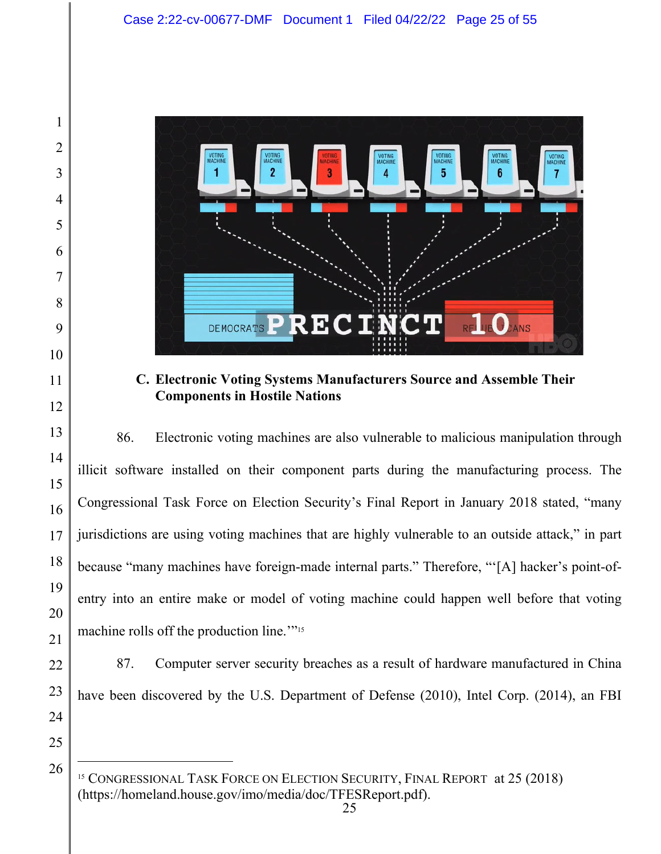

**C. Electronic Voting Systems Manufacturers Source and Assemble Their Components in Hostile Nations** 

86. Electronic voting machines are also vulnerable to malicious manipulation through illicit software installed on their component parts during the manufacturing process. The Congressional Task Force on Election Security's Final Report in January 2018 stated, "many jurisdictions are using voting machines that are highly vulnerable to an outside attack," in part because "many machines have foreign-made internal parts." Therefore, "'[A] hacker's point-ofentry into an entire make or model of voting machine could happen well before that voting machine rolls off the production line."<sup>15</sup>

87. Computer server security breaches as a result of hardware manufactured in China have been discovered by the U.S. Department of Defense (2010), Intel Corp. (2014), an FBI

<sup>&</sup>lt;sup>15</sup> CONGRESSIONAL TASK FORCE ON ELECTION SECURITY, FINAL REPORT at 25 (2018) (https://homeland.house.gov/imo/media/doc/TFESReport.pdf).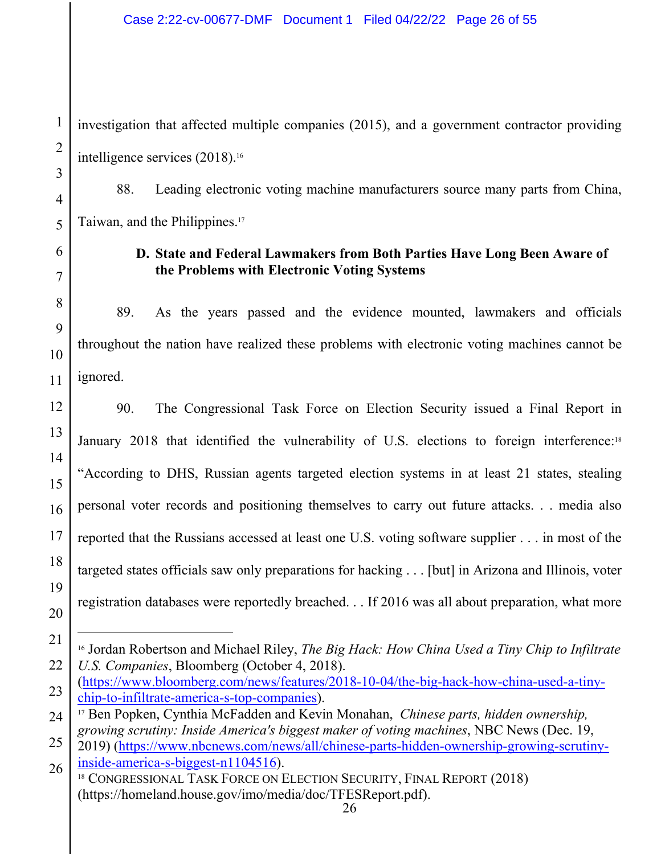investigation that affected multiple companies (2015), and a government contractor providing intelligence services (2018).16

88. Leading electronic voting machine manufacturers source many parts from China, Taiwan, and the Philippines.17

## **D. State and Federal Lawmakers from Both Parties Have Long Been Aware of the Problems with Electronic Voting Systems**

89. As the years passed and the evidence mounted, lawmakers and officials throughout the nation have realized these problems with electronic voting machines cannot be ignored.

90. The Congressional Task Force on Election Security issued a Final Report in January 2018 that identified the vulnerability of U.S. elections to foreign interference:<sup>18</sup> "According to DHS, Russian agents targeted election systems in at least 21 states, stealing personal voter records and positioning themselves to carry out future attacks. . . media also reported that the Russians accessed at least one U.S. voting software supplier . . . in most of the targeted states officials saw only preparations for hacking . . . [but] in Arizona and Illinois, voter registration databases were reportedly breached. . . If 2016 was all about preparation, what more

<sup>16</sup> Jordan Robertson and Michael Riley, *The Big Hack: How China Used a Tiny Chip to Infiltrate U.S. Companies*, Bloomberg (October 4, 2018).

<sup>(</sup>https://www.bloomberg.com/news/features/2018-10-04/the-big-hack-how-china-used-a-tinychip-to-infiltrate-america-s-top-companies). 17 Ben Popken, Cynthia McFadden and Kevin Monahan, *Chinese parts, hidden ownership,* 

*growing scrutiny: Inside America's biggest maker of voting machines*, NBC News (Dec. 19,

<sup>2019) (</sup>https://www.nbcnews.com/news/all/chinese-parts-hidden-ownership-growing-scrutinyinside-america-s-biggest-n1104516).<br><sup>18</sup> CONGRESSIONAL TASK FORCE ON ELECTION SECURITY, FINAL REPORT (2018)

<sup>(</sup>https://homeland.house.gov/imo/media/doc/TFESReport.pdf).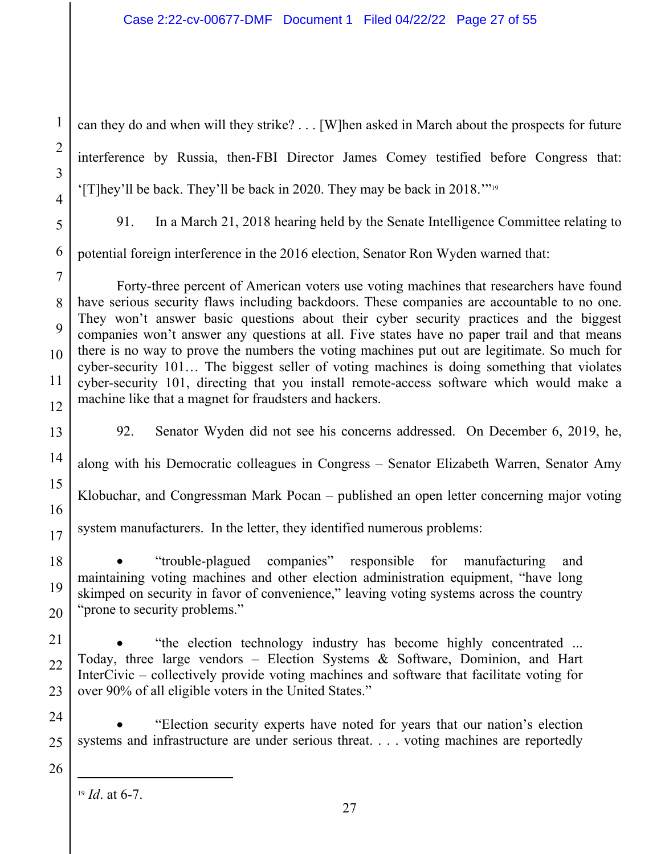1 2 3 4 5 6 7 8 9 10 11 12 13 14 15 16 17 18 19 20 21 22 23 24 25 26 can they do and when will they strike? . . . [W]hen asked in March about the prospects for future interference by Russia, then-FBI Director James Comey testified before Congress that: '[T]hey'll be back. They'll be back in 2020. They may be back in 2018.'"19 91. In a March 21, 2018 hearing held by the Senate Intelligence Committee relating to potential foreign interference in the 2016 election, Senator Ron Wyden warned that: Forty-three percent of American voters use voting machines that researchers have found have serious security flaws including backdoors. These companies are accountable to no one. They won't answer basic questions about their cyber security practices and the biggest companies won't answer any questions at all. Five states have no paper trail and that means there is no way to prove the numbers the voting machines put out are legitimate. So much for cyber-security 101… The biggest seller of voting machines is doing something that violates cyber-security 101, directing that you install remote-access software which would make a machine like that a magnet for fraudsters and hackers. 92. Senator Wyden did not see his concerns addressed. On December 6, 2019, he, along with his Democratic colleagues in Congress – Senator Elizabeth Warren, Senator Amy Klobuchar, and Congressman Mark Pocan – published an open letter concerning major voting system manufacturers. In the letter, they identified numerous problems: "trouble-plagued companies" responsible for manufacturing and maintaining voting machines and other election administration equipment, "have long skimped on security in favor of convenience," leaving voting systems across the country "prone to security problems." "the election technology industry has become highly concentrated ... Today, three large vendors – Election Systems & Software, Dominion, and Hart InterCivic – collectively provide voting machines and software that facilitate voting for over 90% of all eligible voters in the United States." "Election security experts have noted for years that our nation's election systems and infrastructure are under serious threat. . . . voting machines are reportedly

<sup>19</sup> *Id*. at 6-7.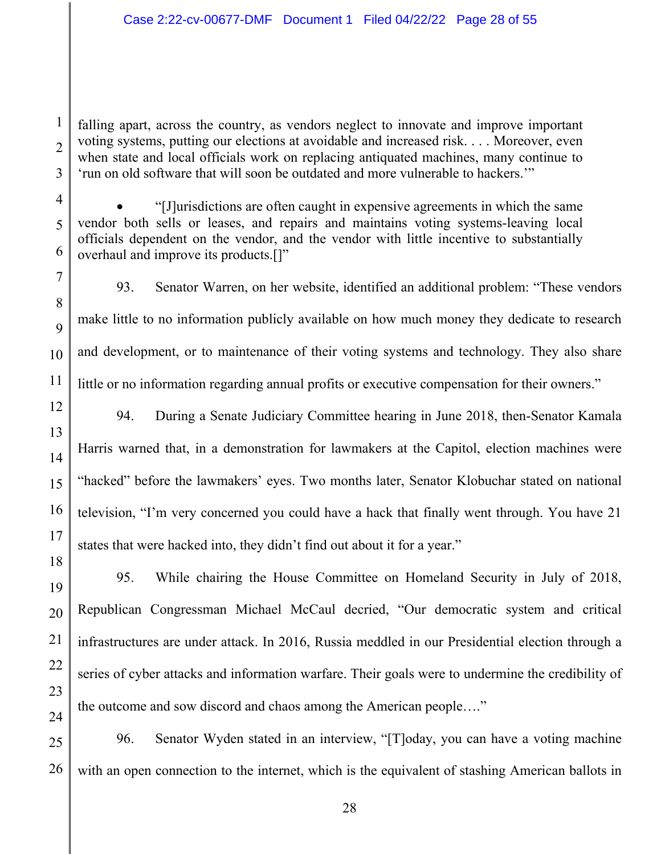falling apart, across the country, as vendors neglect to innovate and improve important voting systems, putting our elections at avoidable and increased risk. . . . Moreover, even when state and local officials work on replacing antiquated machines, many continue to 'run on old software that will soon be outdated and more vulnerable to hackers.'"

1

2

3

4

5

6

7

8

 $\overline{Q}$ 

10

11

12

13

14

15

16

17

18

 "[J]urisdictions are often caught in expensive agreements in which the same vendor both sells or leases, and repairs and maintains voting systems-leaving local officials dependent on the vendor, and the vendor with little incentive to substantially overhaul and improve its products.[]"

93. Senator Warren, on her website, identified an additional problem: "These vendors make little to no information publicly available on how much money they dedicate to research and development, or to maintenance of their voting systems and technology. They also share little or no information regarding annual profits or executive compensation for their owners."

94. During a Senate Judiciary Committee hearing in June 2018, then-Senator Kamala Harris warned that, in a demonstration for lawmakers at the Capitol, election machines were "hacked" before the lawmakers' eyes. Two months later, Senator Klobuchar stated on national television, "I'm very concerned you could have a hack that finally went through. You have 21 states that were hacked into, they didn't find out about it for a year."

19 20 21 22 23 24 95. While chairing the House Committee on Homeland Security in July of 2018, Republican Congressman Michael McCaul decried, "Our democratic system and critical infrastructures are under attack. In 2016, Russia meddled in our Presidential election through a series of cyber attacks and information warfare. Their goals were to undermine the credibility of the outcome and sow discord and chaos among the American people…."

25 26 96. Senator Wyden stated in an interview, "[T]oday, you can have a voting machine with an open connection to the internet, which is the equivalent of stashing American ballots in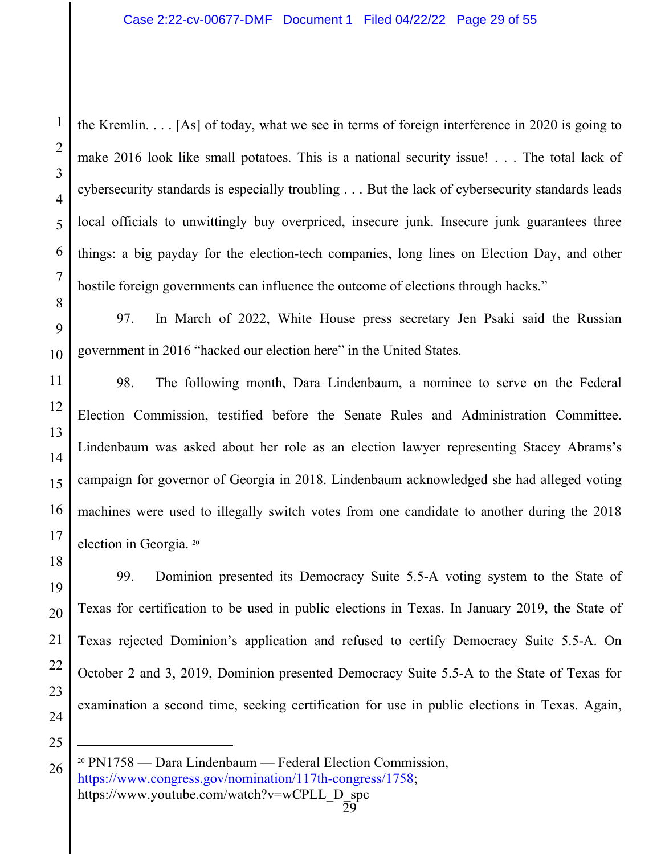the Kremlin. . . . [As] of today, what we see in terms of foreign interference in 2020 is going to make 2016 look like small potatoes. This is a national security issue! . . . The total lack of cybersecurity standards is especially troubling . . . But the lack of cybersecurity standards leads local officials to unwittingly buy overpriced, insecure junk. Insecure junk guarantees three things: a big payday for the election-tech companies, long lines on Election Day, and other hostile foreign governments can influence the outcome of elections through hacks."

97. In March of 2022, White House press secretary Jen Psaki said the Russian government in 2016 "hacked our election here" in the United States.

98. The following month, Dara Lindenbaum, a nominee to serve on the Federal Election Commission, testified before the Senate Rules and Administration Committee. Lindenbaum was asked about her role as an election lawyer representing Stacey Abrams's campaign for governor of Georgia in 2018. Lindenbaum acknowledged she had alleged voting machines were used to illegally switch votes from one candidate to another during the 2018 election in Georgia. 20

18 99. Dominion presented its Democracy Suite 5.5-A voting system to the State of Texas for certification to be used in public elections in Texas. In January 2019, the State of Texas rejected Dominion's application and refused to certify Democracy Suite 5.5-A. On October 2 and 3, 2019, Dominion presented Democracy Suite 5.5-A to the State of Texas for examination a second time, seeking certification for use in public elections in Texas. Again,

24 25

26

1

2

3

4

5

6

7

8

 $\mathbf Q$ 

10

11

12

13

14

15

16

17

19

20

21

22

<sup>20</sup> PN1758 — Dara Lindenbaum — Federal Election Commission, https://www.congress.gov/nomination/117th-congress/1758; https://www.youtube.com/watch?v=wCPLL\_D\_spc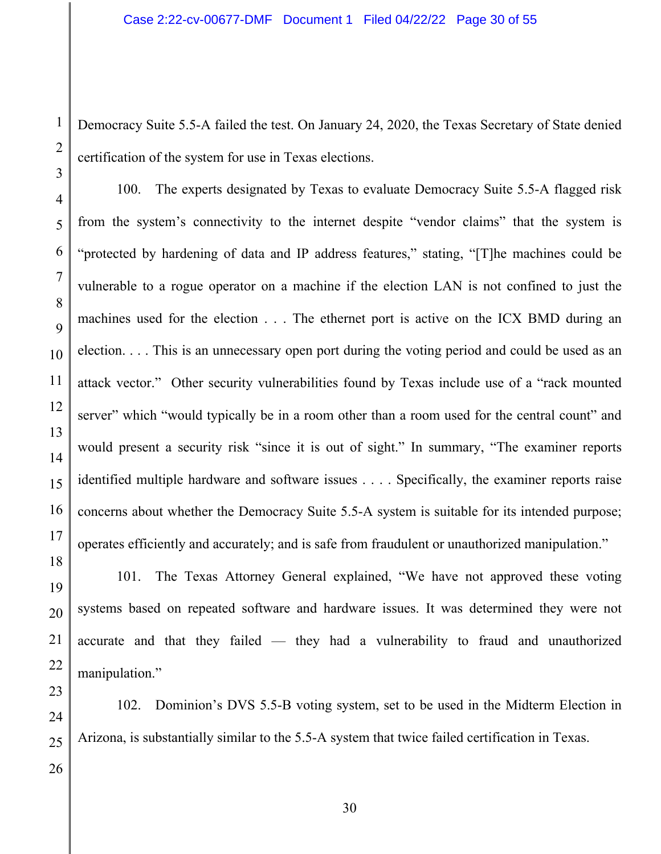Democracy Suite 5.5-A failed the test. On January 24, 2020, the Texas Secretary of State denied certification of the system for use in Texas elections.

100. The experts designated by Texas to evaluate Democracy Suite 5.5-A flagged risk from the system's connectivity to the internet despite "vendor claims" that the system is "protected by hardening of data and IP address features," stating, "[T]he machines could be vulnerable to a rogue operator on a machine if the election LAN is not confined to just the machines used for the election . . . The ethernet port is active on the ICX BMD during an election. . . . This is an unnecessary open port during the voting period and could be used as an attack vector." Other security vulnerabilities found by Texas include use of a "rack mounted server" which "would typically be in a room other than a room used for the central count" and would present a security risk "since it is out of sight." In summary, "The examiner reports identified multiple hardware and software issues . . . . Specifically, the examiner reports raise concerns about whether the Democracy Suite 5.5-A system is suitable for its intended purpose; operates efficiently and accurately; and is safe from fraudulent or unauthorized manipulation."

1

2

3

4

5

101. The Texas Attorney General explained, "We have not approved these voting systems based on repeated software and hardware issues. It was determined they were not accurate and that they failed — they had a vulnerability to fraud and unauthorized manipulation."

102. Dominion's DVS 5.5-B voting system, set to be used in the Midterm Election in Arizona, is substantially similar to the 5.5-A system that twice failed certification in Texas.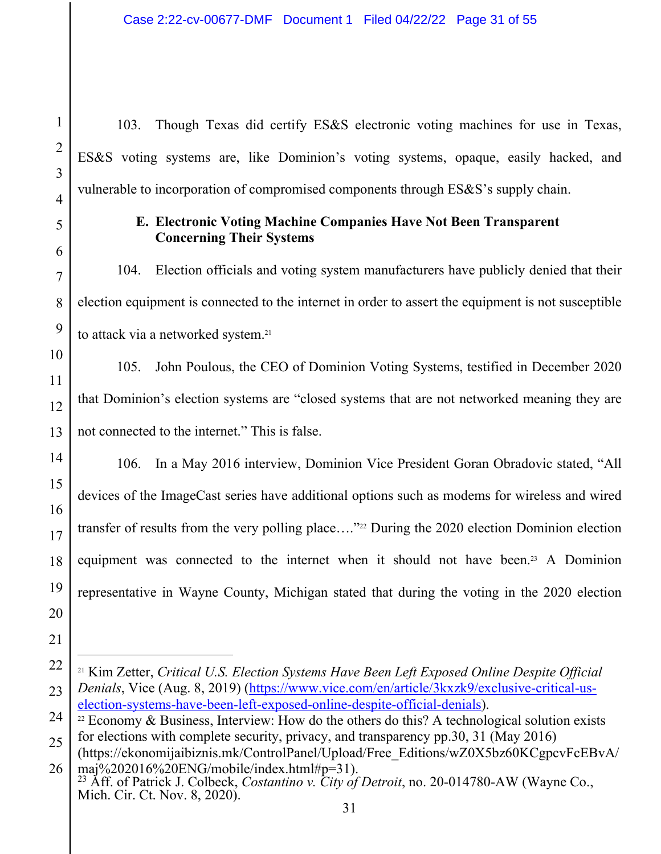103. Though Texas did certify ES&S electronic voting machines for use in Texas, ES&S voting systems are, like Dominion's voting systems, opaque, easily hacked, and vulnerable to incorporation of compromised components through ES&S's supply chain.

## **E. Electronic Voting Machine Companies Have Not Been Transparent Concerning Their Systems**

104. Election officials and voting system manufacturers have publicly denied that their election equipment is connected to the internet in order to assert the equipment is not susceptible to attack via a networked system.<sup>21</sup>

105. John Poulous, the CEO of Dominion Voting Systems, testified in December 2020 that Dominion's election systems are "closed systems that are not networked meaning they are not connected to the internet." This is false.

106. In a May 2016 interview, Dominion Vice President Goran Obradovic stated, "All devices of the ImageCast series have additional options such as modems for wireless and wired transfer of results from the very polling place...."<sup>22</sup> During the 2020 election Dominion election equipment was connected to the internet when it should not have been.<sup>23</sup> A Dominion representative in Wayne County, Michigan stated that during the voting in the 2020 election

<sup>21</sup> Kim Zetter, *Critical U.S. Election Systems Have Been Left Exposed Online Despite Official Denials*, Vice (Aug. 8, 2019) (https://www.vice.com/en/article/3kxzk9/exclusive-critical-uselection-systems-have-been-left-exposed-online-despite-official-denials).<br><sup>22</sup> Economy & Business, Interview: How do the others do this? A technological solution exists

for elections with complete security, privacy, and transparency pp.30, 31 (May 2016)

<sup>(</sup>https://ekonomijaibiznis.mk/ControlPanel/Upload/Free\_Editions/wZ0X5bz60KCgpcvFcEBvA/ maj%202016%20ENG/mobile/index.html#p=31).

<sup>23</sup> Aff. of Patrick J. Colbeck, *Costantino v. City of Detroit*, no. 20-014780-AW (Wayne Co., Mich. Cir. Ct. Nov. 8, 2020).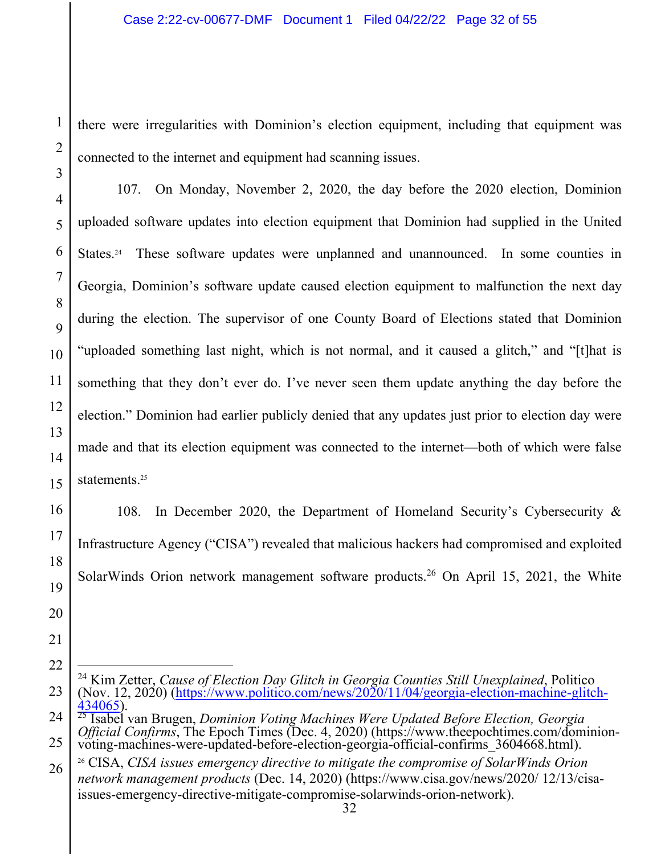there were irregularities with Dominion's election equipment, including that equipment was connected to the internet and equipment had scanning issues.

107. On Monday, November 2, 2020, the day before the 2020 election, Dominion uploaded software updates into election equipment that Dominion had supplied in the United States.24 These software updates were unplanned and unannounced.In some counties in Georgia, Dominion's software update caused election equipment to malfunction the next day during the election. The supervisor of one County Board of Elections stated that Dominion "uploaded something last night, which is not normal, and it caused a glitch," and "[t]hat is something that they don't ever do. I've never seen them update anything the day before the election." Dominion had earlier publicly denied that any updates just prior to election day were made and that its election equipment was connected to the internet—both of which were false statements.<sup>25</sup>

108. In December 2020, the Department of Homeland Security's Cybersecurity & Infrastructure Agency ("CISA") revealed that malicious hackers had compromised and exploited SolarWinds Orion network management software products.<sup>26</sup> On April 15, 2021, the White

<sup>24</sup> Kim Zetter, *Cause of Election Day Glitch in Georgia Counties Still Unexplained*, Politico (Nov. 12, 2020) (https://www.politico.com/news/2020/11/04/georgia-election-machine-glitch-<br>434065).

<sup>&</sup>lt;sup>25</sup> Isabel van Brugen, *Dominion Voting Machines Were Updated Before Election, Georgia Official Confirms*, The Epoch Times (Dec. 4, 2020) (https://www.theepochtimes.com/dominionvoting-machines-were-updated-before-election-georgia-official-confirms\_3604668.html).

<sup>26</sup> CISA, *CISA issues emergency directive to mitigate the compromise of SolarWinds Orion network management products* (Dec. 14, 2020) (https://www.cisa.gov/news/2020/ 12/13/cisaissues-emergency-directive-mitigate-compromise-solarwinds-orion-network).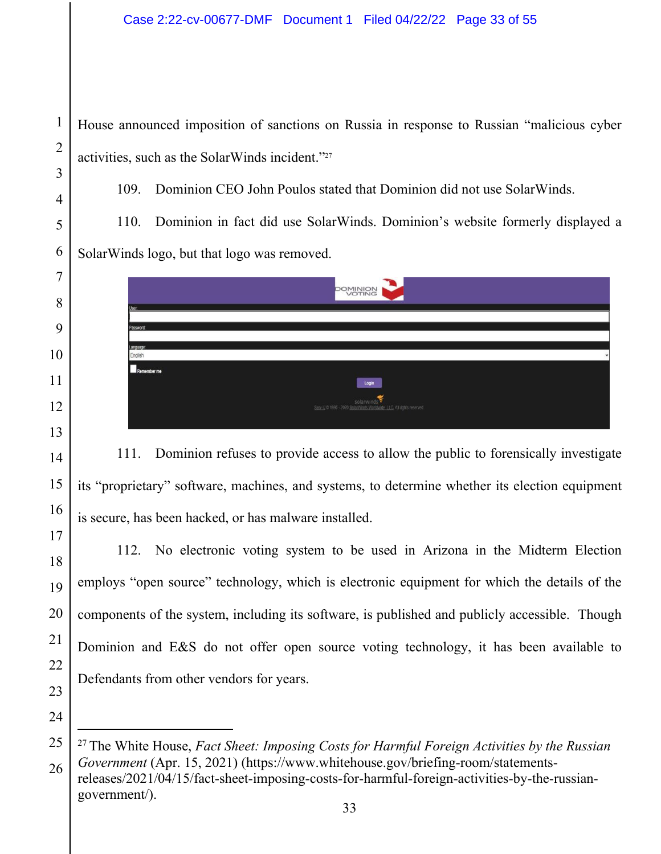1

2

3

4

5

6

7

8

9

10

11

12

13

14

15

16

17

18

19

20

21

22

23

24

House announced imposition of sanctions on Russia in response to Russian "malicious cyber activities, such as the SolarWinds incident."27

109. Dominion CEO John Poulos stated that Dominion did not use SolarWinds.

110. Dominion in fact did use SolarWinds. Dominion's website formerly displayed a SolarWinds logo, but that logo was removed.



111. Dominion refuses to provide access to allow the public to forensically investigate its "proprietary" software, machines, and systems, to determine whether its election equipment is secure, has been hacked, or has malware installed.

112. No electronic voting system to be used in Arizona in the Midterm Election employs "open source" technology, which is electronic equipment for which the details of the components of the system, including its software, is published and publicly accessible. Though Dominion and E&S do not offer open source voting technology, it has been available to Defendants from other vendors for years.

<sup>25</sup>  26 27 The White House, *Fact Sheet: Imposing Costs for Harmful Foreign Activities by the Russian Government* (Apr. 15, 2021) (https://www.whitehouse.gov/briefing-room/statementsreleases/2021/04/15/fact-sheet-imposing-costs-for-harmful-foreign-activities-by-the-russiangovernment/).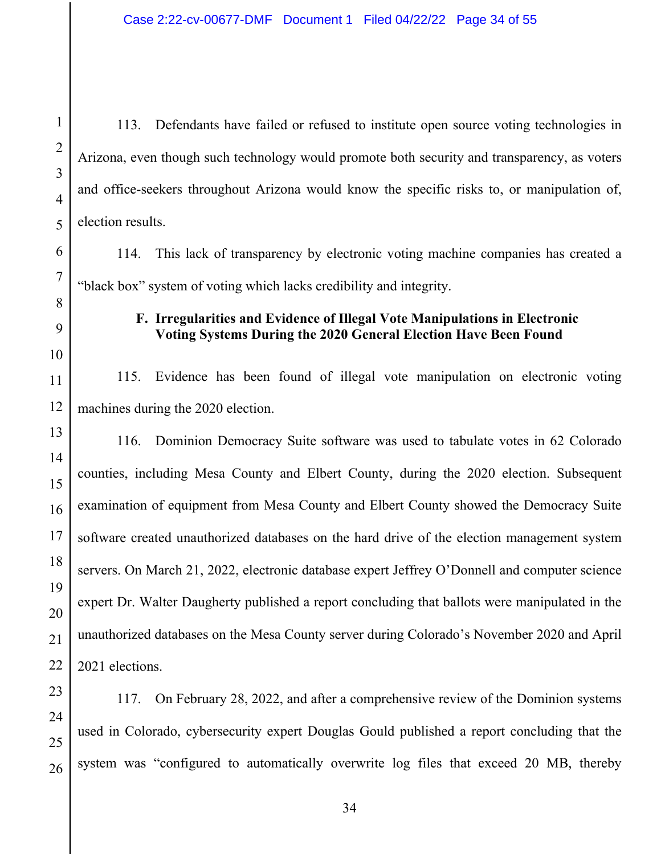1

2

3

4

5

6

7

8

9

10

11

12

13

14

15

16

17

18

19

20

21

22

113. Defendants have failed or refused to institute open source voting technologies in Arizona, even though such technology would promote both security and transparency, as voters and office-seekers throughout Arizona would know the specific risks to, or manipulation of, election results.

114. This lack of transparency by electronic voting machine companies has created a "black box" system of voting which lacks credibility and integrity.

## **F. Irregularities and Evidence of Illegal Vote Manipulations in Electronic Voting Systems During the 2020 General Election Have Been Found**

115. Evidence has been found of illegal vote manipulation on electronic voting machines during the 2020 election.

116. Dominion Democracy Suite software was used to tabulate votes in 62 Colorado counties, including Mesa County and Elbert County, during the 2020 election. Subsequent examination of equipment from Mesa County and Elbert County showed the Democracy Suite software created unauthorized databases on the hard drive of the election management system servers. On March 21, 2022, electronic database expert Jeffrey O'Donnell and computer science expert Dr. Walter Daugherty published a report concluding that ballots were manipulated in the unauthorized databases on the Mesa County server during Colorado's November 2020 and April 2021 elections.

23 24 25 26 117. On February 28, 2022, and after a comprehensive review of the Dominion systems used in Colorado, cybersecurity expert Douglas Gould published a report concluding that the system was "configured to automatically overwrite log files that exceed 20 MB, thereby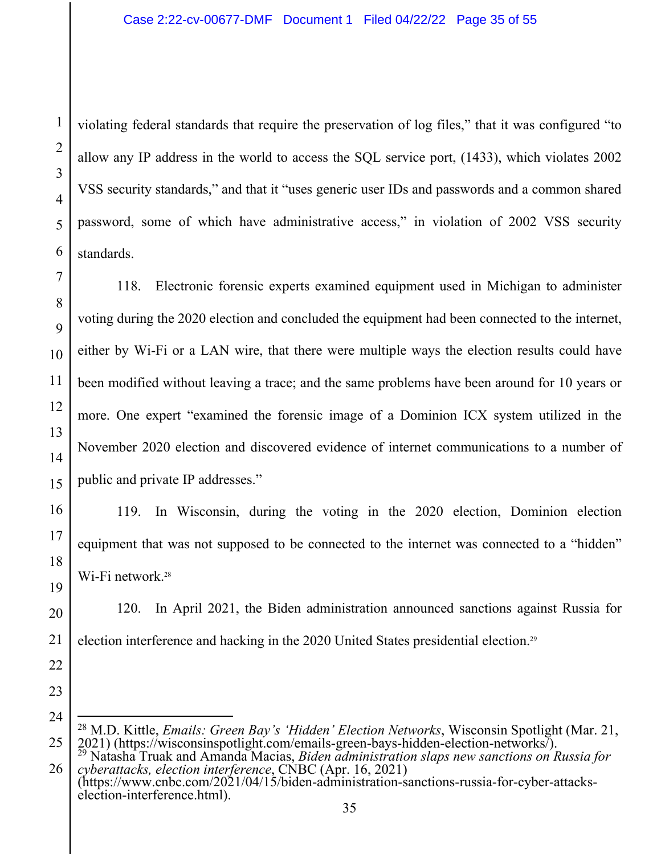violating federal standards that require the preservation of log files," that it was configured "to allow any IP address in the world to access the SQL service port, (1433), which violates 2002 VSS security standards," and that it "uses generic user IDs and passwords and a common shared password, some of which have administrative access," in violation of 2002 VSS security standards.

118. Electronic forensic experts examined equipment used in Michigan to administer voting during the 2020 election and concluded the equipment had been connected to the internet, either by Wi-Fi or a LAN wire, that there were multiple ways the election results could have been modified without leaving a trace; and the same problems have been around for 10 years or more. One expert "examined the forensic image of a Dominion ICX system utilized in the November 2020 election and discovered evidence of internet communications to a number of public and private IP addresses."

119. In Wisconsin, during the voting in the 2020 election, Dominion election equipment that was not supposed to be connected to the internet was connected to a "hidden" Wi-Fi network.<sup>28</sup>

20 21 120. In April 2021, the Biden administration announced sanctions against Russia for election interference and hacking in the 2020 United States presidential election.29

23 24

25

22

1

2

3

4

5

6

7

8

 $\overline{Q}$ 

10

11

12

13

14

15

16

17

18

<sup>&</sup>lt;sup>28</sup> M.D. Kittle, *Emails: Green Bay's 'Hidden' Election Networks*, Wisconsin Spotlight (Mar. 21, 2021) (https://wisconsinspotlight.com/emails-green-bays-hidden-election-networks/). 2021) (https://wisconsinspotlight.com/emails-green-bays-hidden-election-networks/).<br><sup>29</sup> Natasha Truak and Amanda Macias, *Biden administration slaps new sanctions on Russia for* 

<sup>26</sup>  *cyberattacks, election interference*, CNBC (Apr. 16, 2021) (https://www.cnbc.com/2021/04/15/biden-administration-sanctions-russia-for-cyber-attackselection-interference.html).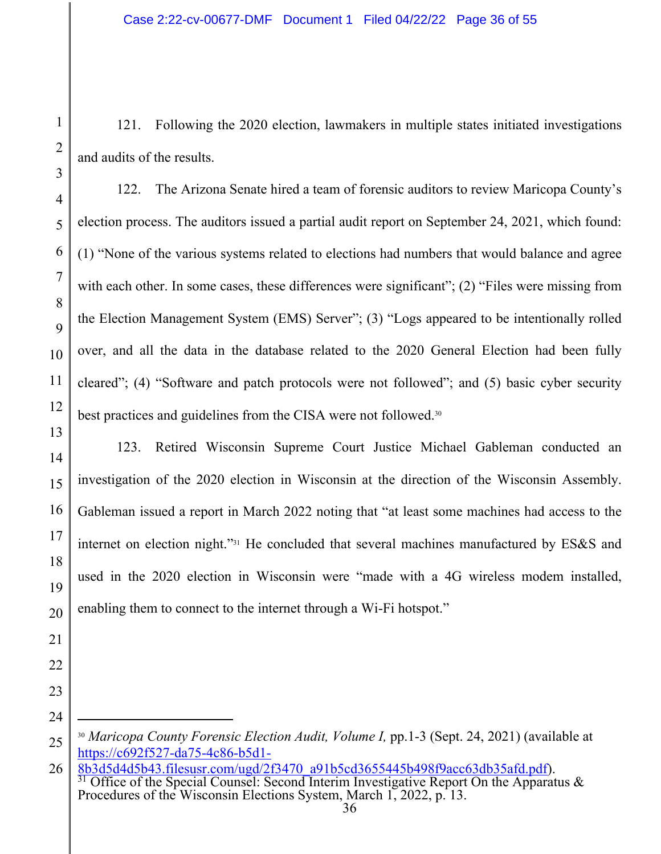121. Following the 2020 election, lawmakers in multiple states initiated investigations and audits of the results.

122. The Arizona Senate hired a team of forensic auditors to review Maricopa County's election process. The auditors issued a partial audit report on September 24, 2021, which found: (1) "None of the various systems related to elections had numbers that would balance and agree with each other. In some cases, these differences were significant"; (2) "Files were missing from the Election Management System (EMS) Server"; (3) "Logs appeared to be intentionally rolled over, and all the data in the database related to the 2020 General Election had been fully cleared"; (4) "Software and patch protocols were not followed"; and (5) basic cyber security best practices and guidelines from the CISA were not followed.30

123. Retired Wisconsin Supreme Court Justice Michael Gableman conducted an investigation of the 2020 election in Wisconsin at the direction of the Wisconsin Assembly. Gableman issued a report in March 2022 noting that "at least some machines had access to the internet on election night."31 He concluded that several machines manufactured by ES&S and used in the 2020 election in Wisconsin were "made with a 4G wireless modem installed, enabling them to connect to the internet through a Wi-Fi hotspot."

1

2

3

<sup>30</sup> *Maricopa County Forensic Election Audit, Volume I,* pp.1-3 (Sept. 24, 2021) (available at https://c692f527-da75-4c86-b5d1-

<sup>26</sup>  8b3d5d4d5b43.filesusr.com/ugd/2f3470\_a91b5cd3655445b498f9acc63db35afd.pdf). 31 Office of the Special Counsel: Second Interim Investigative Report On the Apparatus & Procedures of the Wisconsin Elections System, March 1, 2022, p. 13.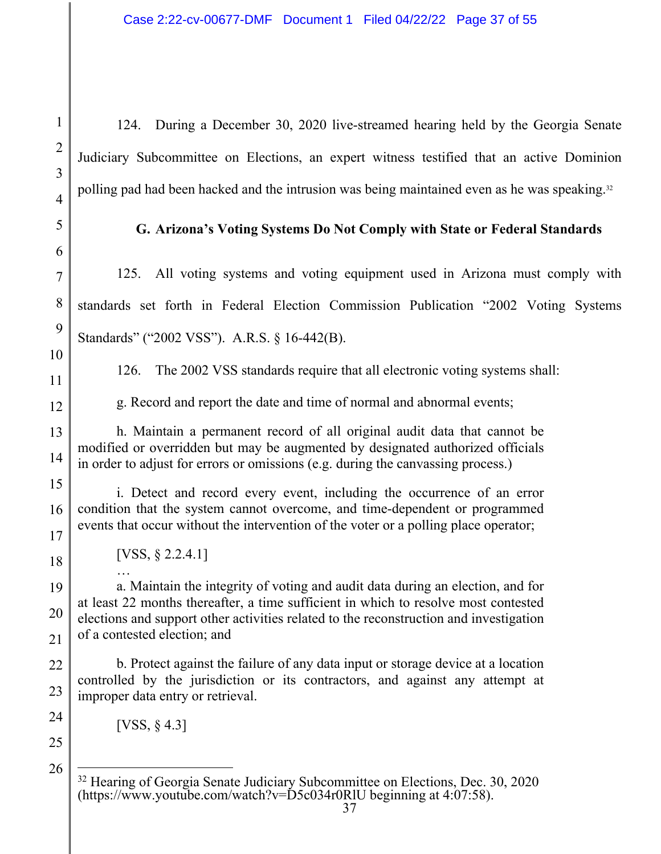124. During a December 30, 2020 live-streamed hearing held by the Georgia Senate Judiciary Subcommittee on Elections, an expert witness testified that an active Dominion polling pad had been hacked and the intrusion was being maintained even as he was speaking.<sup>32</sup>

**G. Arizona's Voting Systems Do Not Comply with State or Federal Standards** 

125. All voting systems and voting equipment used in Arizona must comply with standards set forth in Federal Election Commission Publication "2002 Voting Systems Standards" ("2002 VSS"). A.R.S. § 16-442(B).

1

2

126. The 2002 VSS standards require that all electronic voting systems shall:

g. Record and report the date and time of normal and abnormal events;

h. Maintain a permanent record of all original audit data that cannot be modified or overridden but may be augmented by designated authorized officials in order to adjust for errors or omissions (e.g. during the canvassing process.)

i. Detect and record every event, including the occurrence of an error condition that the system cannot overcome, and time-dependent or programmed events that occur without the intervention of the voter or a polling place operator;

[VSS, § 2.2.4.1]

…

a. Maintain the integrity of voting and audit data during an election, and for at least 22 months thereafter, a time sufficient in which to resolve most contested elections and support other activities related to the reconstruction and investigation of a contested election; and

b. Protect against the failure of any data input or storage device at a location controlled by the jurisdiction or its contractors, and against any attempt at improper data entry or retrieval.

[VSS, § 4.3]

<sup>&</sup>lt;sup>32</sup> Hearing of Georgia Senate Judiciary Subcommittee on Elections, Dec. 30, 2020 (https://www.youtube.com/watch?v= $\text{D}5c034r0\text{R}$ lU beginning at 4:07:58).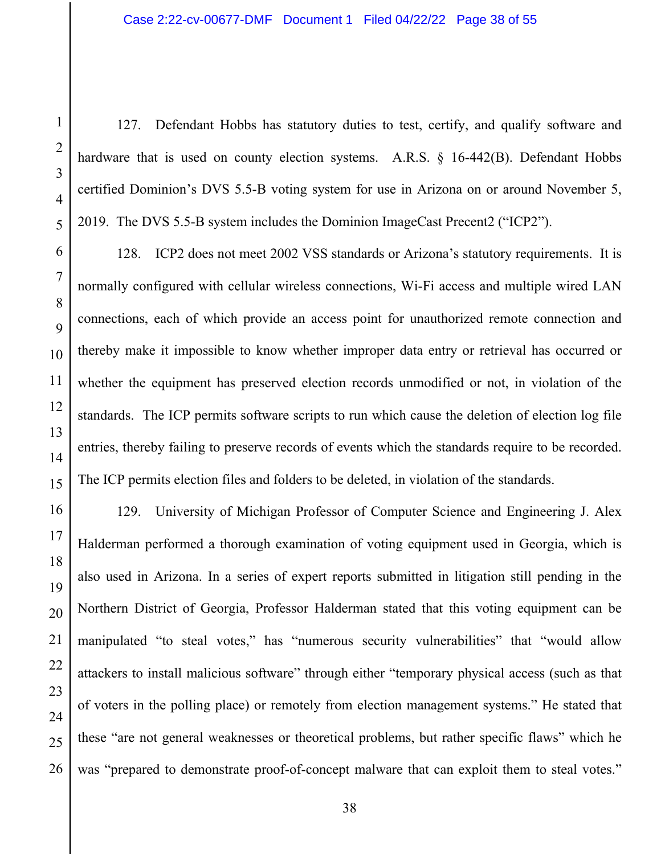127. Defendant Hobbs has statutory duties to test, certify, and qualify software and hardware that is used on county election systems. A.R.S. § 16-442(B). Defendant Hobbs certified Dominion's DVS 5.5-B voting system for use in Arizona on or around November 5, 2019. The DVS 5.5-B system includes the Dominion ImageCast Precent2 ("ICP2").

128. ICP2 does not meet 2002 VSS standards or Arizona's statutory requirements. It is normally configured with cellular wireless connections, Wi-Fi access and multiple wired LAN connections, each of which provide an access point for unauthorized remote connection and thereby make it impossible to know whether improper data entry or retrieval has occurred or whether the equipment has preserved election records unmodified or not, in violation of the standards. The ICP permits software scripts to run which cause the deletion of election log file entries, thereby failing to preserve records of events which the standards require to be recorded. The ICP permits election files and folders to be deleted, in violation of the standards.

129. University of Michigan Professor of Computer Science and Engineering J. Alex Halderman performed a thorough examination of voting equipment used in Georgia, which is also used in Arizona. In a series of expert reports submitted in litigation still pending in the Northern District of Georgia, Professor Halderman stated that this voting equipment can be manipulated "to steal votes," has "numerous security vulnerabilities" that "would allow attackers to install malicious software" through either "temporary physical access (such as that of voters in the polling place) or remotely from election management systems." He stated that these "are not general weaknesses or theoretical problems, but rather specific flaws" which he was "prepared to demonstrate proof-of-concept malware that can exploit them to steal votes."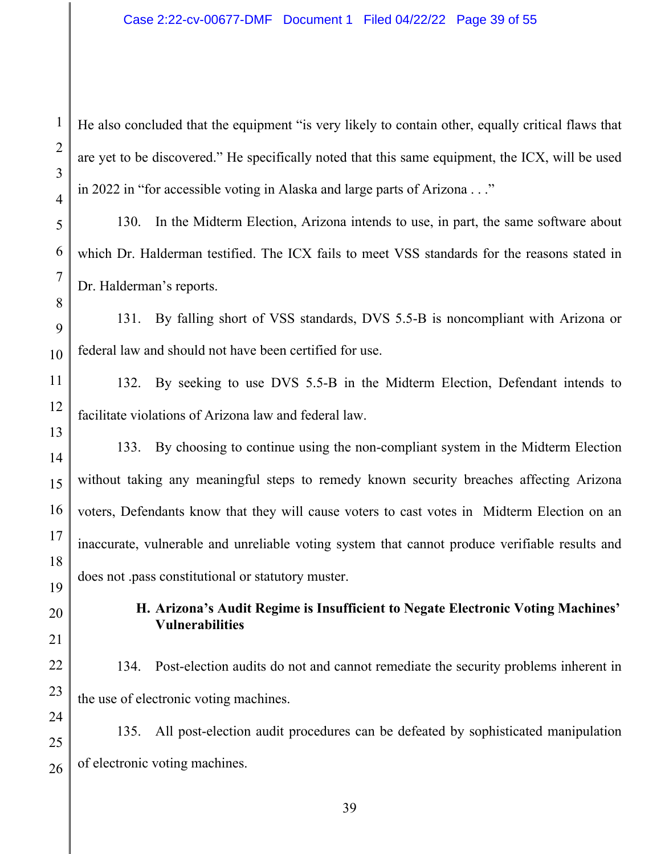He also concluded that the equipment "is very likely to contain other, equally critical flaws that are yet to be discovered." He specifically noted that this same equipment, the ICX, will be used in 2022 in "for accessible voting in Alaska and large parts of Arizona . . ."

130. In the Midterm Election, Arizona intends to use, in part, the same software about which Dr. Halderman testified. The ICX fails to meet VSS standards for the reasons stated in Dr. Halderman's reports.

131. By falling short of VSS standards, DVS 5.5-B is noncompliant with Arizona or federal law and should not have been certified for use.

132. By seeking to use DVS 5.5-B in the Midterm Election, Defendant intends to facilitate violations of Arizona law and federal law.

133. By choosing to continue using the non-compliant system in the Midterm Election without taking any meaningful steps to remedy known security breaches affecting Arizona voters, Defendants know that they will cause voters to cast votes in Midterm Election on an inaccurate, vulnerable and unreliable voting system that cannot produce verifiable results and does not .pass constitutional or statutory muster.

> **H. Arizona's Audit Regime is Insufficient to Negate Electronic Voting Machines' Vulnerabilities**

134. Post-election audits do not and cannot remediate the security problems inherent in the use of electronic voting machines.

135. All post-election audit procedures can be defeated by sophisticated manipulation of electronic voting machines.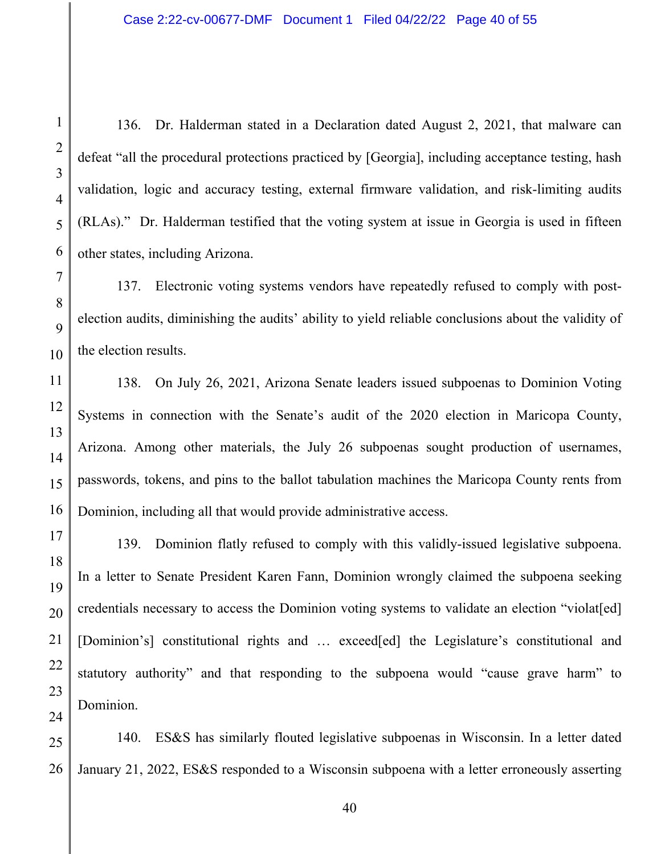136. Dr. Halderman stated in a Declaration dated August 2, 2021, that malware can defeat "all the procedural protections practiced by [Georgia], including acceptance testing, hash validation, logic and accuracy testing, external firmware validation, and risk-limiting audits (RLAs)." Dr. Halderman testified that the voting system at issue in Georgia is used in fifteen other states, including Arizona.

137. Electronic voting systems vendors have repeatedly refused to comply with postelection audits, diminishing the audits' ability to yield reliable conclusions about the validity of the election results.

138. On July 26, 2021, Arizona Senate leaders issued subpoenas to Dominion Voting Systems in connection with the Senate's audit of the 2020 election in Maricopa County, Arizona. Among other materials, the July 26 subpoenas sought production of usernames, passwords, tokens, and pins to the ballot tabulation machines the Maricopa County rents from Dominion, including all that would provide administrative access.

139. Dominion flatly refused to comply with this validly-issued legislative subpoena. In a letter to Senate President Karen Fann, Dominion wrongly claimed the subpoena seeking credentials necessary to access the Dominion voting systems to validate an election "violat[ed] [Dominion's] constitutional rights and ... exceed[ed] the Legislature's constitutional and statutory authority" and that responding to the subpoena would "cause grave harm" to Dominion.

140. ES&S has similarly flouted legislative subpoenas in Wisconsin. In a letter dated January 21, 2022, ES&S responded to a Wisconsin subpoena with a letter erroneously asserting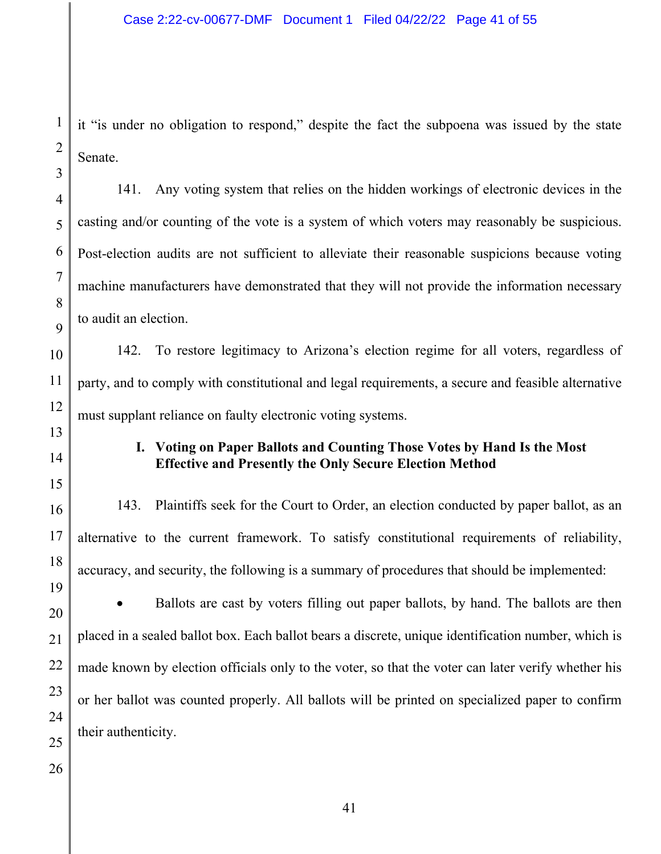it "is under no obligation to respond," despite the fact the subpoena was issued by the state Senate.

141. Any voting system that relies on the hidden workings of electronic devices in the casting and/or counting of the vote is a system of which voters may reasonably be suspicious. Post-election audits are not sufficient to alleviate their reasonable suspicions because voting machine manufacturers have demonstrated that they will not provide the information necessary to audit an election.

142. To restore legitimacy to Arizona's election regime for all voters, regardless of party, and to comply with constitutional and legal requirements, a secure and feasible alternative must supplant reliance on faulty electronic voting systems.

# **I. Voting on Paper Ballots and Counting Those Votes by Hand Is the Most Effective and Presently the Only Secure Election Method**

143. Plaintiffs seek for the Court to Order, an election conducted by paper ballot, as an alternative to the current framework. To satisfy constitutional requirements of reliability, accuracy, and security, the following is a summary of procedures that should be implemented:

• Ballots are cast by voters filling out paper ballots, by hand. The ballots are then placed in a sealed ballot box. Each ballot bears a discrete, unique identification number, which is made known by election officials only to the voter, so that the voter can later verify whether his or her ballot was counted properly. All ballots will be printed on specialized paper to confirm their authenticity.

1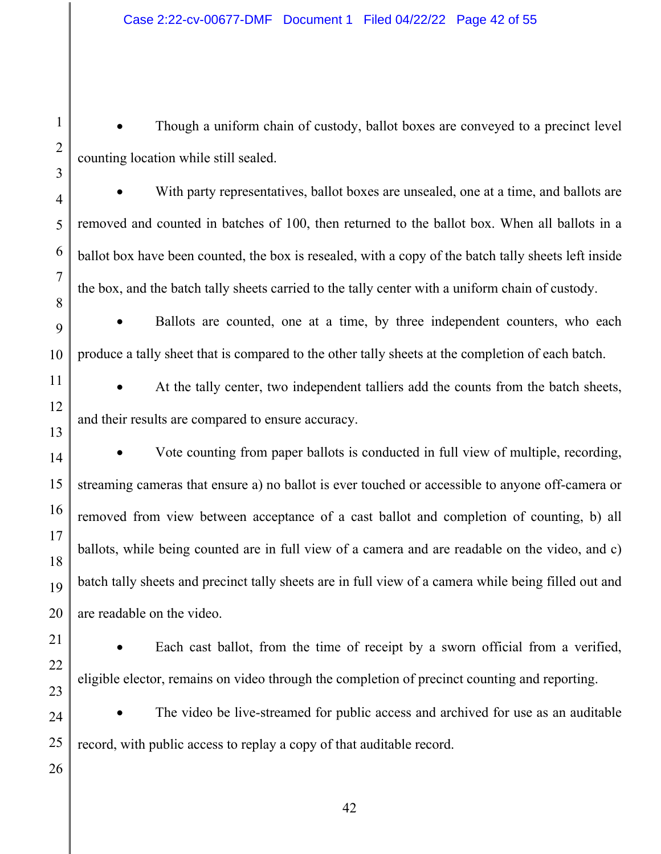• Though a uniform chain of custody, ballot boxes are conveyed to a precinct level counting location while still sealed.

 With party representatives, ballot boxes are unsealed, one at a time, and ballots are removed and counted in batches of 100, then returned to the ballot box. When all ballots in a ballot box have been counted, the box is resealed, with a copy of the batch tally sheets left inside the box, and the batch tally sheets carried to the tally center with a uniform chain of custody.

 Ballots are counted, one at a time, by three independent counters, who each produce a tally sheet that is compared to the other tally sheets at the completion of each batch.

 At the tally center, two independent talliers add the counts from the batch sheets, and their results are compared to ensure accuracy.

 Vote counting from paper ballots is conducted in full view of multiple, recording, streaming cameras that ensure a) no ballot is ever touched or accessible to anyone off-camera or removed from view between acceptance of a cast ballot and completion of counting, b) all ballots, while being counted are in full view of a camera and are readable on the video, and c) batch tally sheets and precinct tally sheets are in full view of a camera while being filled out and are readable on the video.

 Each cast ballot, from the time of receipt by a sworn official from a verified, eligible elector, remains on video through the completion of precinct counting and reporting.

 The video be live-streamed for public access and archived for use as an auditable record, with public access to replay a copy of that auditable record.

1

2

3

4

5

6

7

8

9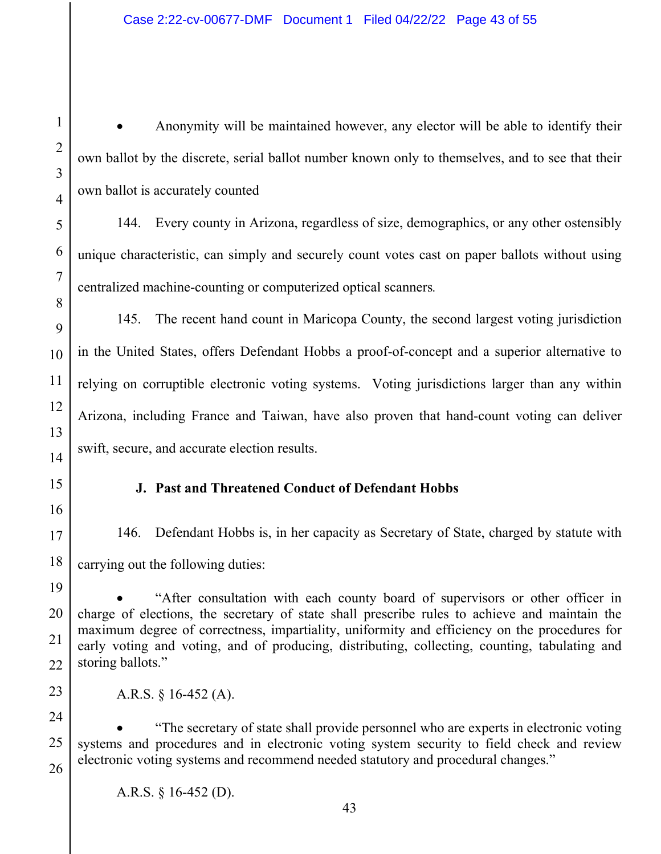Anonymity will be maintained however, any elector will be able to identify their own ballot by the discrete, serial ballot number known only to themselves, and to see that their own ballot is accurately counted

144. Every county in Arizona, regardless of size, demographics, or any other ostensibly unique characteristic, can simply and securely count votes cast on paper ballots without using centralized machine-counting or computerized optical scanners*.*

145. The recent hand count in Maricopa County, the second largest voting jurisdiction in the United States, offers Defendant Hobbs a proof-of-concept and a superior alternative to relying on corruptible electronic voting systems. Voting jurisdictions larger than any within Arizona, including France and Taiwan, have also proven that hand-count voting can deliver swift, secure, and accurate election results.

# **J. Past and Threatened Conduct of Defendant Hobbs**

146. Defendant Hobbs is, in her capacity as Secretary of State, charged by statute with carrying out the following duties:

18 19

20

21

22

23

24

25

26

1

2

3

4

5

6

7

8

9

10

11

12

13

14

15

16

17

 "After consultation with each county board of supervisors or other officer in charge of elections, the secretary of state shall prescribe rules to achieve and maintain the maximum degree of correctness, impartiality, uniformity and efficiency on the procedures for early voting and voting, and of producing, distributing, collecting, counting, tabulating and storing ballots."

A.R.S. § 16-452 (A).

 "The secretary of state shall provide personnel who are experts in electronic voting systems and procedures and in electronic voting system security to field check and review electronic voting systems and recommend needed statutory and procedural changes."

A.R.S. § 16-452 (D).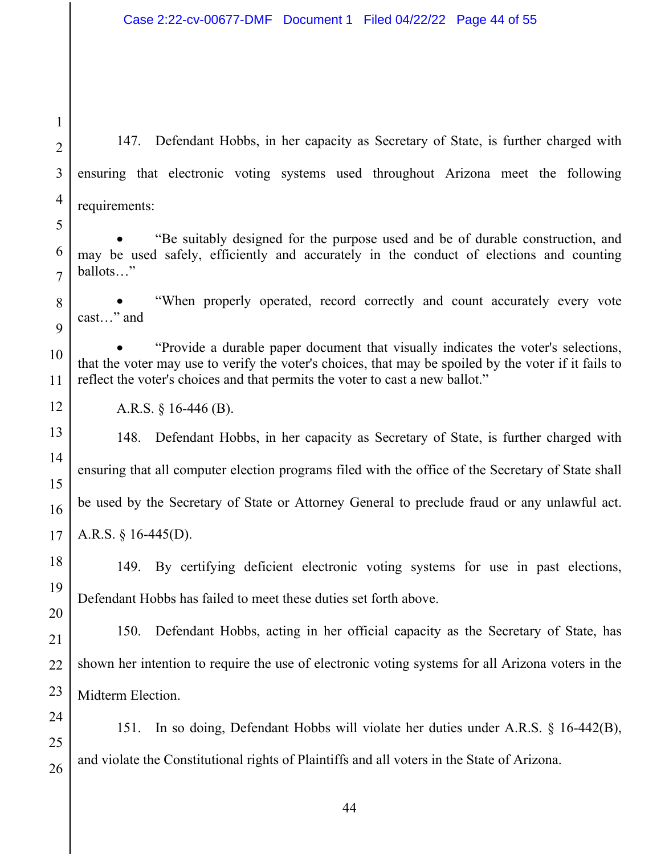1

2

3

4

5

147. Defendant Hobbs, in her capacity as Secretary of State, is further charged with ensuring that electronic voting systems used throughout Arizona meet the following requirements:

 "Be suitably designed for the purpose used and be of durable construction, and may be used safely, efficiently and accurately in the conduct of elections and counting ballots…"

 "When properly operated, record correctly and count accurately every vote cast…" and

 "Provide a durable paper document that visually indicates the voter's selections, that the voter may use to verify the voter's choices, that may be spoiled by the voter if it fails to reflect the voter's choices and that permits the voter to cast a new ballot."

A.R.S. § 16-446 (B).

148. Defendant Hobbs, in her capacity as Secretary of State, is further charged with ensuring that all computer election programs filed with the office of the Secretary of State shall be used by the Secretary of State or Attorney General to preclude fraud or any unlawful act. A.R.S. § 16-445(D).

149. By certifying deficient electronic voting systems for use in past elections, Defendant Hobbs has failed to meet these duties set forth above.

150. Defendant Hobbs, acting in her official capacity as the Secretary of State, has shown her intention to require the use of electronic voting systems for all Arizona voters in the Midterm Election.

24 25 26 151. In so doing, Defendant Hobbs will violate her duties under A.R.S. § 16-442(B), and violate the Constitutional rights of Plaintiffs and all voters in the State of Arizona.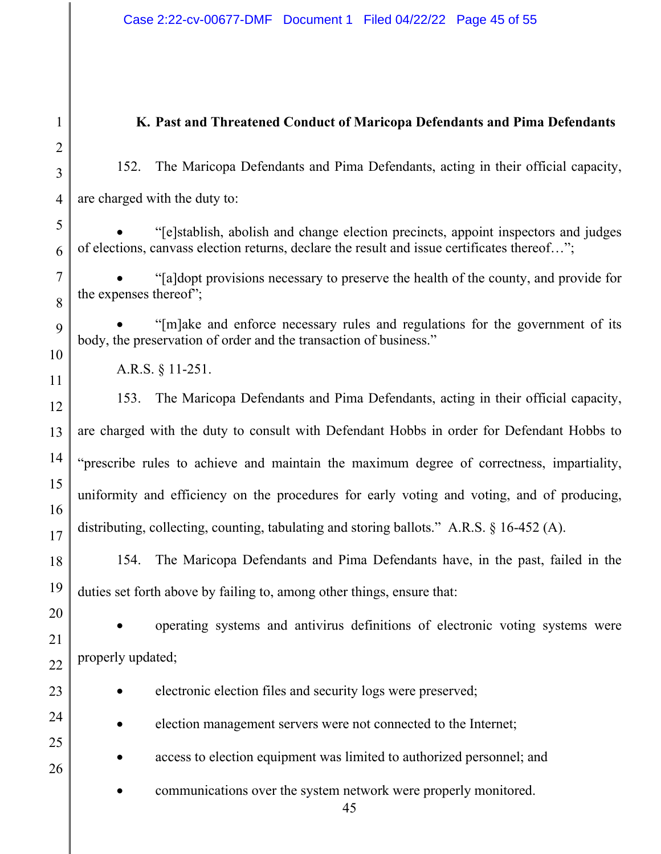45 1 2 3 4 5 6 7 8 9 10 11 12 13 14 15 16 17 18 19 20 21 22 23 24 25 26 **K. Past and Threatened Conduct of Maricopa Defendants and Pima Defendants**  152. The Maricopa Defendants and Pima Defendants, acting in their official capacity, are charged with the duty to: "[e]stablish, abolish and change election precincts, appoint inspectors and judges of elections, canvass election returns, declare the result and issue certificates thereof…"; "[a]dopt provisions necessary to preserve the health of the county, and provide for the expenses thereof"; "[m]ake and enforce necessary rules and regulations for the government of its body, the preservation of order and the transaction of business." A.R.S. § 11-251. 153. The Maricopa Defendants and Pima Defendants, acting in their official capacity, are charged with the duty to consult with Defendant Hobbs in order for Defendant Hobbs to "prescribe rules to achieve and maintain the maximum degree of correctness, impartiality, uniformity and efficiency on the procedures for early voting and voting, and of producing, distributing, collecting, counting, tabulating and storing ballots." A.R.S. § 16-452 (A). 154. The Maricopa Defendants and Pima Defendants have, in the past, failed in the duties set forth above by failing to, among other things, ensure that: operating systems and antivirus definitions of electronic voting systems were properly updated; electronic election files and security logs were preserved; election management servers were not connected to the Internet; • access to election equipment was limited to authorized personnel; and communications over the system network were properly monitored.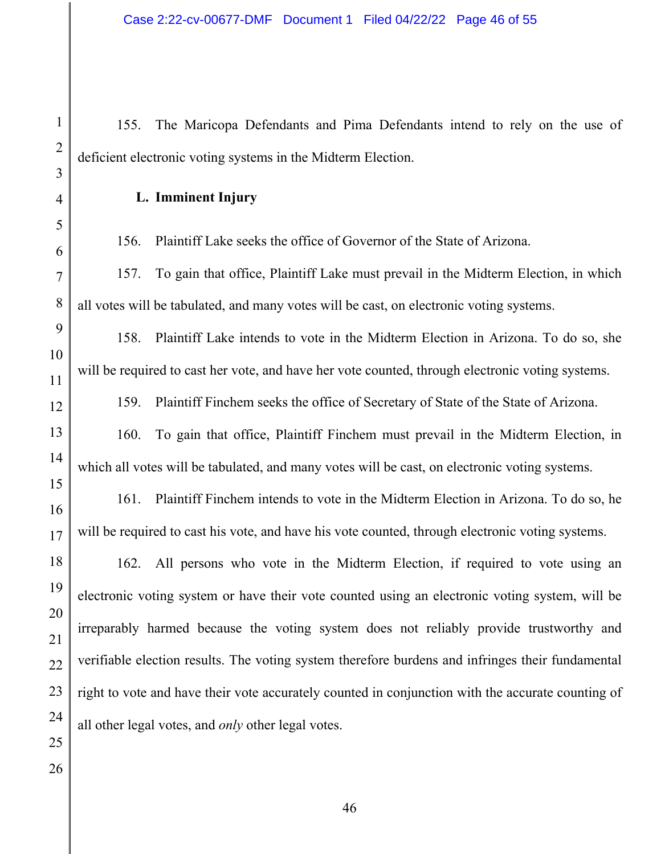155. The Maricopa Defendants and Pima Defendants intend to rely on the use of deficient electronic voting systems in the Midterm Election.

**L. Imminent Injury** 

156. Plaintiff Lake seeks the office of Governor of the State of Arizona.

157. To gain that office, Plaintiff Lake must prevail in the Midterm Election, in which all votes will be tabulated, and many votes will be cast, on electronic voting systems.

158. Plaintiff Lake intends to vote in the Midterm Election in Arizona. To do so, she will be required to cast her vote, and have her vote counted, through electronic voting systems.

159. Plaintiff Finchem seeks the office of Secretary of State of the State of Arizona.

160. To gain that office, Plaintiff Finchem must prevail in the Midterm Election, in which all votes will be tabulated, and many votes will be cast, on electronic voting systems.

161. Plaintiff Finchem intends to vote in the Midterm Election in Arizona. To do so, he will be required to cast his vote, and have his vote counted, through electronic voting systems.

162. All persons who vote in the Midterm Election, if required to vote using an electronic voting system or have their vote counted using an electronic voting system, will be irreparably harmed because the voting system does not reliably provide trustworthy and verifiable election results. The voting system therefore burdens and infringes their fundamental right to vote and have their vote accurately counted in conjunction with the accurate counting of all other legal votes, and *only* other legal votes.

1

2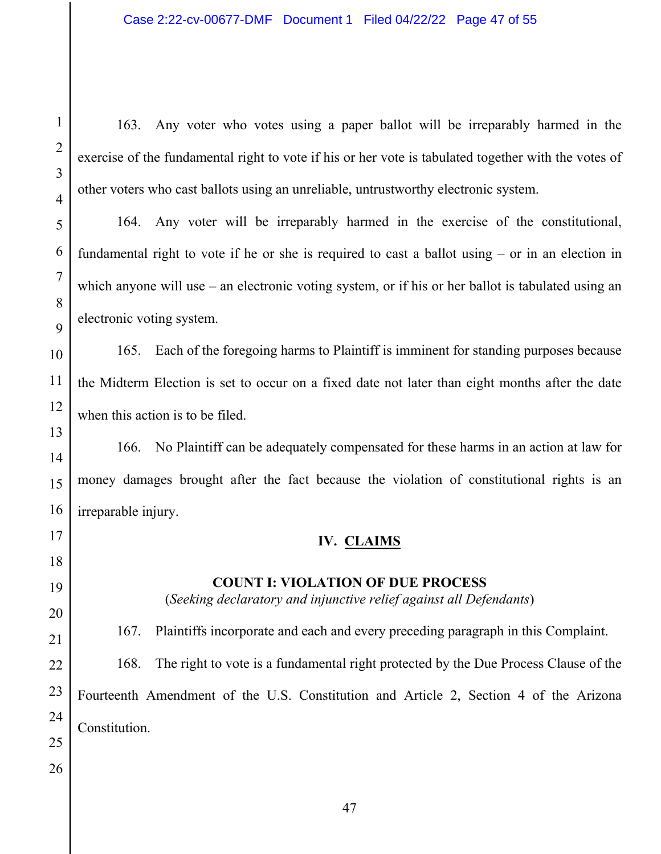163. Any voter who votes using a paper ballot will be irreparably harmed in the exercise of the fundamental right to vote if his or her vote is tabulated together with the votes of other voters who cast ballots using an unreliable, untrustworthy electronic system.

164. Any voter will be irreparably harmed in the exercise of the constitutional, fundamental right to vote if he or she is required to cast a ballot using – or in an election in which anyone will use – an electronic voting system, or if his or her ballot is tabulated using an electronic voting system.

165. Each of the foregoing harms to Plaintiff is imminent for standing purposes because the Midterm Election is set to occur on a fixed date not later than eight months after the date when this action is to be filed.

166. No Plaintiff can be adequately compensated for these harms in an action at law for money damages brought after the fact because the violation of constitutional rights is an irreparable injury.

# **IV. CLAIMS**

# **COUNT I: VIOLATION OF DUE PROCESS**

(*Seeking declaratory and injunctive relief against all Defendants*)

167. Plaintiffs incorporate and each and every preceding paragraph in this Complaint. 168. The right to vote is a fundamental right protected by the Due Process Clause of the Fourteenth Amendment of the U.S. Constitution and Article 2, Section 4 of the Arizona Constitution.

1

2

3

4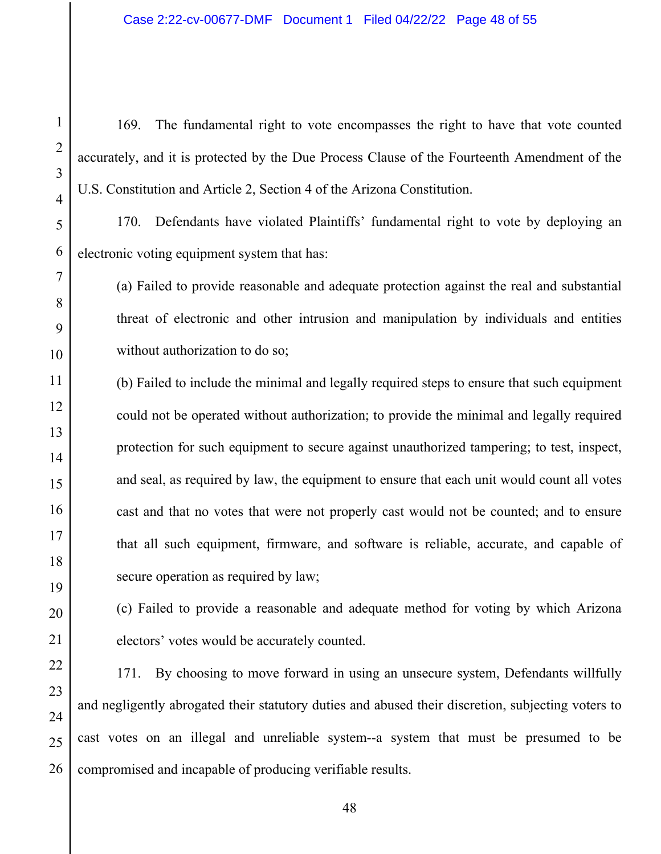169. The fundamental right to vote encompasses the right to have that vote counted accurately, and it is protected by the Due Process Clause of the Fourteenth Amendment of the U.S. Constitution and Article 2, Section 4 of the Arizona Constitution.

170. Defendants have violated Plaintiffs' fundamental right to vote by deploying an electronic voting equipment system that has:

(a) Failed to provide reasonable and adequate protection against the real and substantial threat of electronic and other intrusion and manipulation by individuals and entities without authorization to do so;

(b) Failed to include the minimal and legally required steps to ensure that such equipment could not be operated without authorization; to provide the minimal and legally required protection for such equipment to secure against unauthorized tampering; to test, inspect, and seal, as required by law, the equipment to ensure that each unit would count all votes cast and that no votes that were not properly cast would not be counted; and to ensure that all such equipment, firmware, and software is reliable, accurate, and capable of secure operation as required by law;

(c) Failed to provide a reasonable and adequate method for voting by which Arizona electors' votes would be accurately counted.

171. By choosing to move forward in using an unsecure system, Defendants willfully and negligently abrogated their statutory duties and abused their discretion, subjecting voters to cast votes on an illegal and unreliable system--a system that must be presumed to be compromised and incapable of producing verifiable results.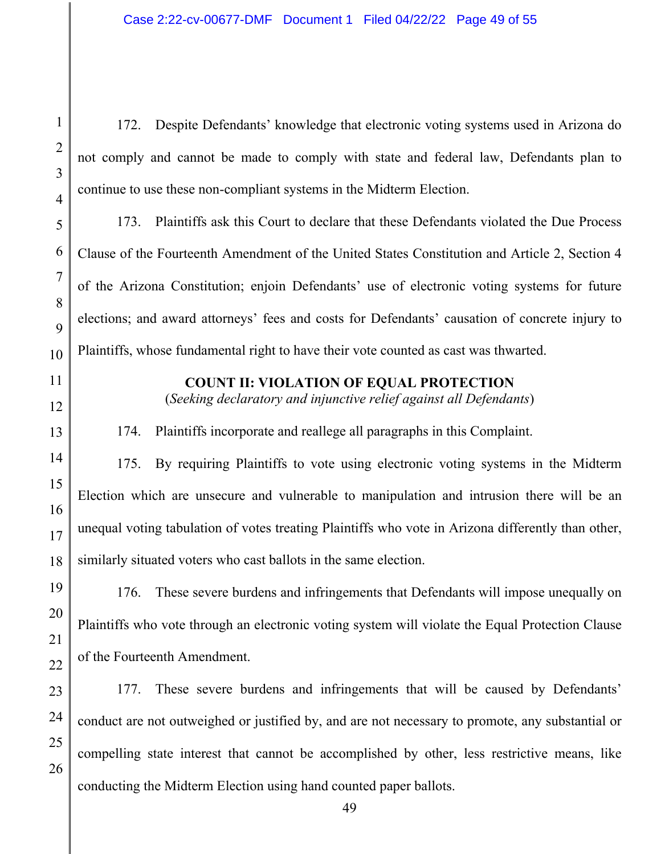172. Despite Defendants' knowledge that electronic voting systems used in Arizona do not comply and cannot be made to comply with state and federal law, Defendants plan to continue to use these non-compliant systems in the Midterm Election.

173. Plaintiffs ask this Court to declare that these Defendants violated the Due Process Clause of the Fourteenth Amendment of the United States Constitution and Article 2, Section 4 of the Arizona Constitution; enjoin Defendants' use of electronic voting systems for future elections; and award attorneys' fees and costs for Defendants' causation of concrete injury to Plaintiffs, whose fundamental right to have their vote counted as cast was thwarted.

#### **COUNT II: VIOLATION OF EQUAL PROTECTION**

(*Seeking declaratory and injunctive relief against all Defendants*)

174. Plaintiffs incorporate and reallege all paragraphs in this Complaint.

175. By requiring Plaintiffs to vote using electronic voting systems in the Midterm Election which are unsecure and vulnerable to manipulation and intrusion there will be an unequal voting tabulation of votes treating Plaintiffs who vote in Arizona differently than other, similarly situated voters who cast ballots in the same election.

176. These severe burdens and infringements that Defendants will impose unequally on Plaintiffs who vote through an electronic voting system will violate the Equal Protection Clause of the Fourteenth Amendment.

177. These severe burdens and infringements that will be caused by Defendants' conduct are not outweighed or justified by, and are not necessary to promote, any substantial or compelling state interest that cannot be accomplished by other, less restrictive means, like conducting the Midterm Election using hand counted paper ballots.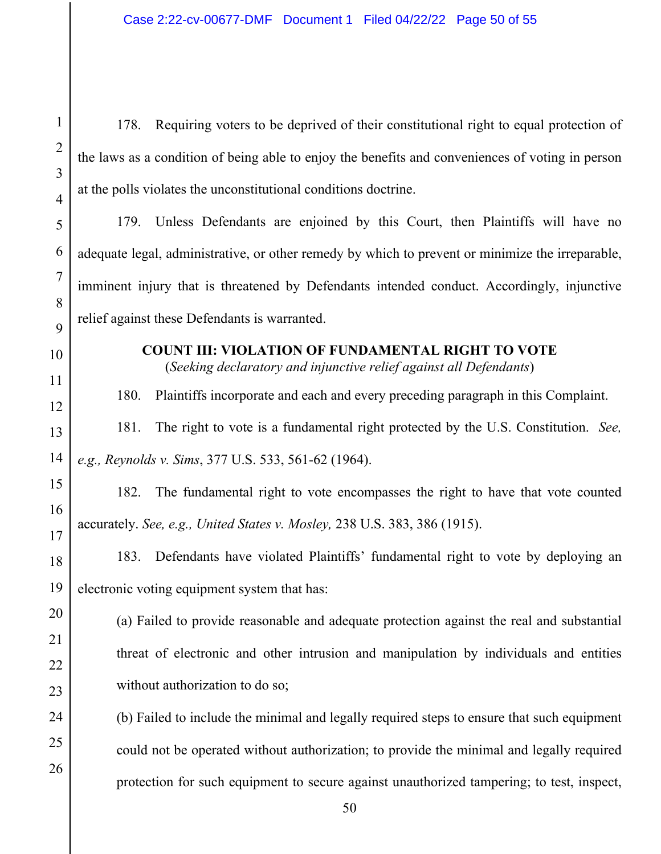| $\mathbf{1}$        | 178. Requiring voters to be deprived of their constitutional right to equal protection of                                      |  |  |
|---------------------|--------------------------------------------------------------------------------------------------------------------------------|--|--|
| $\overline{2}$<br>3 | the laws as a condition of being able to enjoy the benefits and conveniences of voting in person                               |  |  |
| $\overline{4}$      | at the polls violates the unconstitutional conditions doctrine.                                                                |  |  |
| 5                   | 179. Unless Defendants are enjoined by this Court, then Plaintiffs will have no                                                |  |  |
| 6                   | adequate legal, administrative, or other remedy by which to prevent or minimize the irreparable,                               |  |  |
| $\overline{7}$      | imminent injury that is threatened by Defendants intended conduct. Accordingly, injunctive                                     |  |  |
| 8<br>9              | relief against these Defendants is warranted.                                                                                  |  |  |
| 10                  | <b>COUNT III: VIOLATION OF FUNDAMENTAL RIGHT TO VOTE</b><br>(Seeking declaratory and injunctive relief against all Defendants) |  |  |
| 11                  | Plaintiffs incorporate and each and every preceding paragraph in this Complaint.<br>180.                                       |  |  |
| 12                  | The right to vote is a fundamental right protected by the U.S. Constitution. See,<br>181.                                      |  |  |
| 13<br>14            | e.g., Reynolds v. Sims, 377 U.S. 533, 561-62 (1964).                                                                           |  |  |
| 15                  | The fundamental right to vote encompasses the right to have that vote counted<br>182.                                          |  |  |
| 16                  |                                                                                                                                |  |  |
| 17                  | accurately. See, e.g., United States v. Mosley, 238 U.S. 383, 386 (1915).<br>183.                                              |  |  |
| 18                  | Defendants have violated Plaintiffs' fundamental right to vote by deploying an                                                 |  |  |
| 19<br>20            | electronic voting equipment system that has:                                                                                   |  |  |
| 21                  | (a) Failed to provide reasonable and adequate protection against the real and substantial                                      |  |  |
| 22                  | threat of electronic and other intrusion and manipulation by individuals and entities                                          |  |  |
| 23                  | without authorization to do so;                                                                                                |  |  |
| 24                  | (b) Failed to include the minimal and legally required steps to ensure that such equipment                                     |  |  |
| 25<br>26            | could not be operated without authorization; to provide the minimal and legally required                                       |  |  |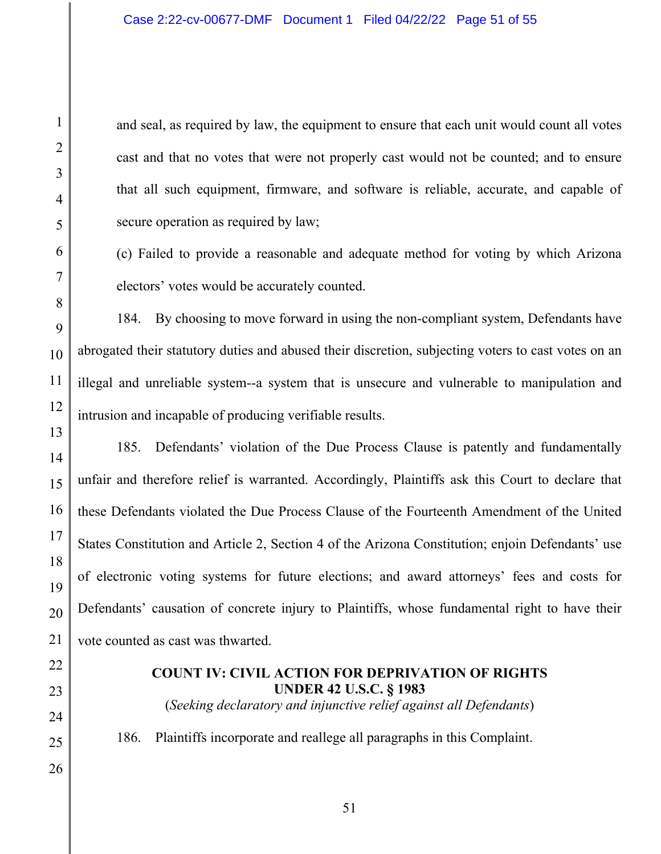and seal, as required by law, the equipment to ensure that each unit would count all votes cast and that no votes that were not properly cast would not be counted; and to ensure that all such equipment, firmware, and software is reliable, accurate, and capable of secure operation as required by law;

(c) Failed to provide a reasonable and adequate method for voting by which Arizona electors' votes would be accurately counted.

184. By choosing to move forward in using the non-compliant system, Defendants have abrogated their statutory duties and abused their discretion, subjecting voters to cast votes on an illegal and unreliable system--a system that is unsecure and vulnerable to manipulation and intrusion and incapable of producing verifiable results.

185. Defendants' violation of the Due Process Clause is patently and fundamentally unfair and therefore relief is warranted. Accordingly, Plaintiffs ask this Court to declare that these Defendants violated the Due Process Clause of the Fourteenth Amendment of the United States Constitution and Article 2, Section 4 of the Arizona Constitution; enjoin Defendants' use of electronic voting systems for future elections; and award attorneys' fees and costs for Defendants' causation of concrete injury to Plaintiffs, whose fundamental right to have their vote counted as cast was thwarted.

### **COUNT IV: CIVIL ACTION FOR DEPRIVATION OF RIGHTS UNDER 42 U.S.C. § 1983**

(*Seeking declaratory and injunctive relief against all Defendants*)

186. Plaintiffs incorporate and reallege all paragraphs in this Complaint.

1

2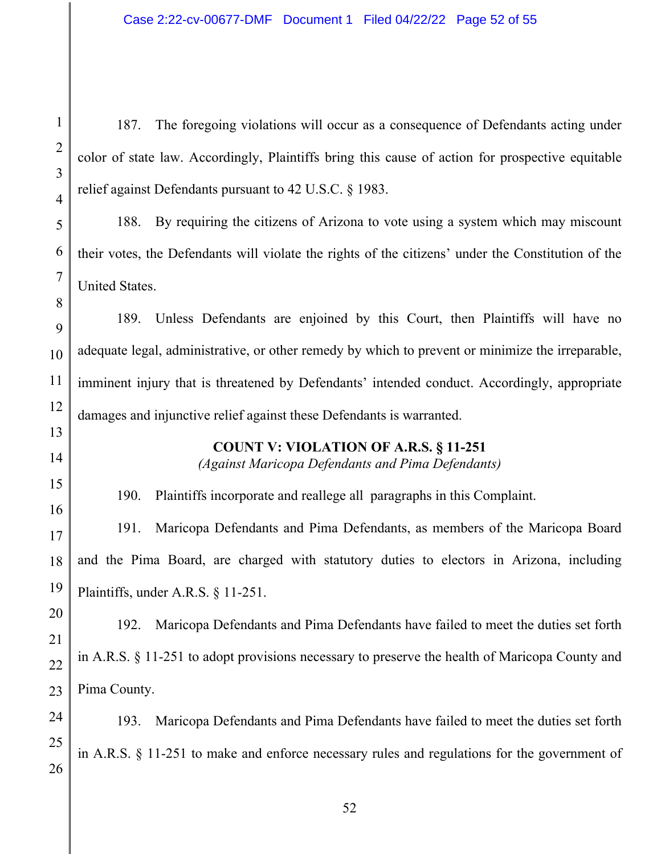187. The foregoing violations will occur as a consequence of Defendants acting under color of state law. Accordingly, Plaintiffs bring this cause of action for prospective equitable relief against Defendants pursuant to 42 U.S.C. § 1983.

188. By requiring the citizens of Arizona to vote using a system which may miscount their votes, the Defendants will violate the rights of the citizens' under the Constitution of the United States.

189. Unless Defendants are enjoined by this Court, then Plaintiffs will have no adequate legal, administrative, or other remedy by which to prevent or minimize the irreparable, imminent injury that is threatened by Defendants' intended conduct. Accordingly, appropriate damages and injunctive relief against these Defendants is warranted.

## **COUNT V: VIOLATION OF A.R.S. § 11-251**

*(Against Maricopa Defendants and Pima Defendants)* 

190. Plaintiffs incorporate and reallege all paragraphs in this Complaint.

191. Maricopa Defendants and Pima Defendants, as members of the Maricopa Board and the Pima Board, are charged with statutory duties to electors in Arizona, including Plaintiffs, under A.R.S. § 11-251.

192. Maricopa Defendants and Pima Defendants have failed to meet the duties set forth in A.R.S. § 11-251 to adopt provisions necessary to preserve the health of Maricopa County and Pima County.

193. Maricopa Defendants and Pima Defendants have failed to meet the duties set forth in A.R.S. § 11-251 to make and enforce necessary rules and regulations for the government of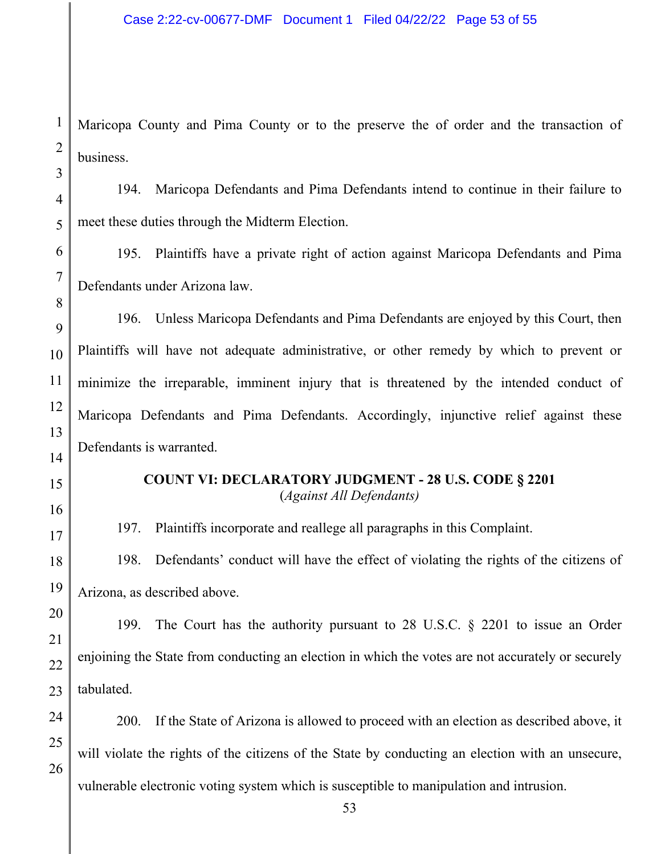Maricopa County and Pima County or to the preserve the of order and the transaction of business.

194. Maricopa Defendants and Pima Defendants intend to continue in their failure to meet these duties through the Midterm Election.

195. Plaintiffs have a private right of action against Maricopa Defendants and Pima Defendants under Arizona law.

196. Unless Maricopa Defendants and Pima Defendants are enjoyed by this Court, then Plaintiffs will have not adequate administrative, or other remedy by which to prevent or minimize the irreparable, imminent injury that is threatened by the intended conduct of Maricopa Defendants and Pima Defendants. Accordingly, injunctive relief against these Defendants is warranted.

### **COUNT VI: DECLARATORY JUDGMENT - 28 U.S. CODE § 2201**  (*Against All Defendants)*

197. Plaintiffs incorporate and reallege all paragraphs in this Complaint.

198. Defendants' conduct will have the effect of violating the rights of the citizens of Arizona, as described above.

199. The Court has the authority pursuant to 28 U.S.C. § 2201 to issue an Order enjoining the State from conducting an election in which the votes are not accurately or securely tabulated.

200. If the State of Arizona is allowed to proceed with an election as described above, it will violate the rights of the citizens of the State by conducting an election with an unsecure, vulnerable electronic voting system which is susceptible to manipulation and intrusion.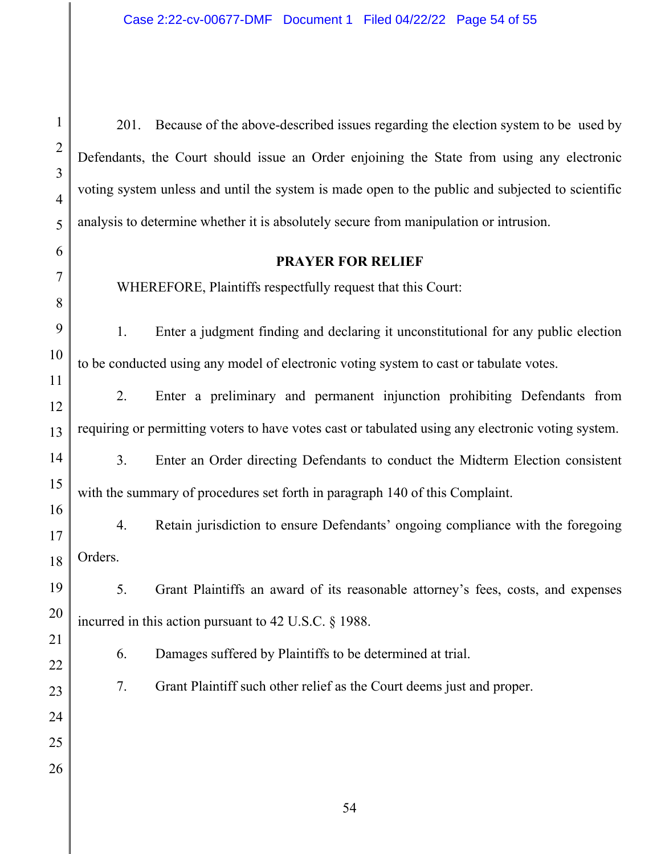1 2 3 4 5 6 7 8 9 10 11 12 13 14 15 16 17 18 19 20 21 22 23 24 25 26 201. Because of the above-described issues regarding the election system to be used by Defendants, the Court should issue an Order enjoining the State from using any electronic voting system unless and until the system is made open to the public and subjected to scientific analysis to determine whether it is absolutely secure from manipulation or intrusion. **PRAYER FOR RELIEF** WHEREFORE, Plaintiffs respectfully request that this Court: 1. Enter a judgment finding and declaring it unconstitutional for any public election to be conducted using any model of electronic voting system to cast or tabulate votes. 2. Enter a preliminary and permanent injunction prohibiting Defendants from requiring or permitting voters to have votes cast or tabulated using any electronic voting system. 3. Enter an Order directing Defendants to conduct the Midterm Election consistent with the summary of procedures set forth in paragraph 140 of this Complaint. 4. Retain jurisdiction to ensure Defendants' ongoing compliance with the foregoing Orders. 5. Grant Plaintiffs an award of its reasonable attorney's fees, costs, and expenses incurred in this action pursuant to 42 U.S.C. § 1988. 6. Damages suffered by Plaintiffs to be determined at trial. 7. Grant Plaintiff such other relief as the Court deems just and proper.